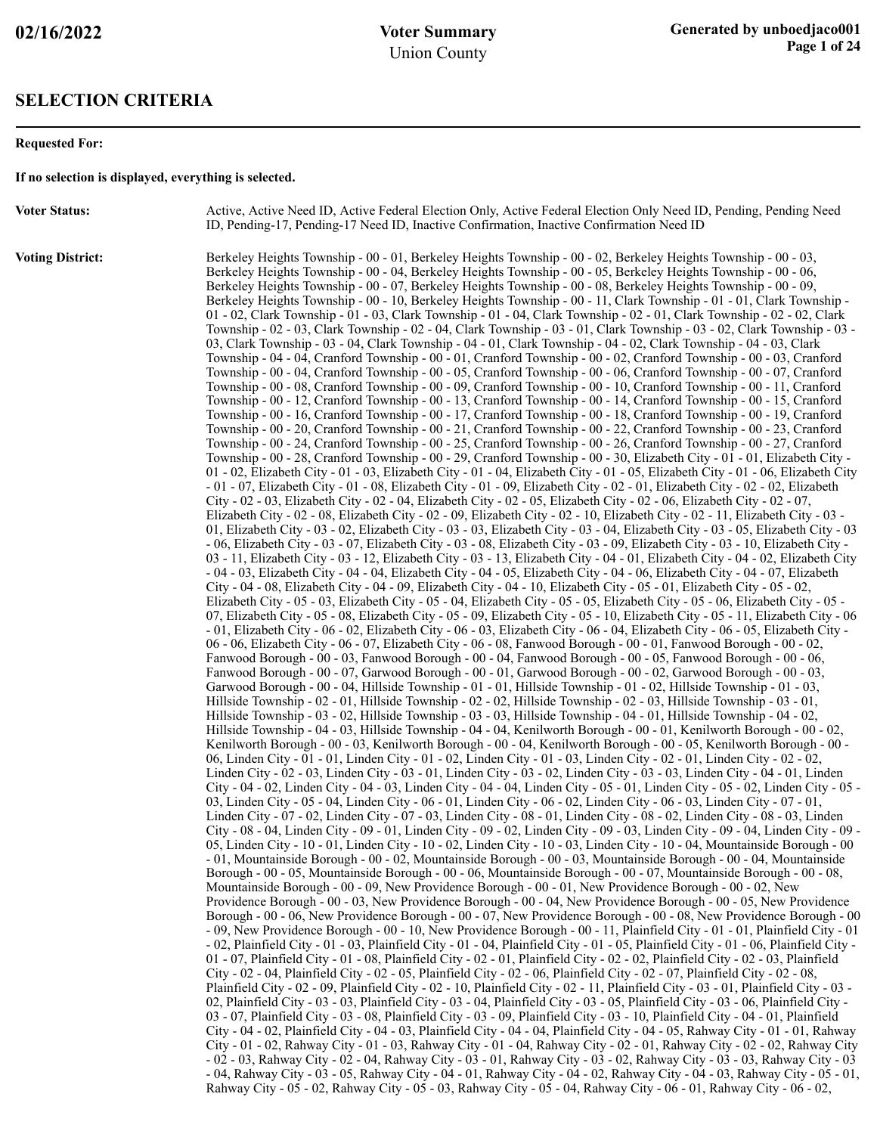#### **SELECTION CRITERIA**

#### **Requested For:**

**If no selection is displayed, everything is selected.**

**Voter Status:** Active, Active Need ID, Active Federal Election Only, Active Federal Election Only Need ID, Pending, Pending Need ID, Pending-17, Pending-17 Need ID, Inactive Confirmation, Inactive Confirmation Need ID

**Voting District:** Berkeley Heights Township - 00 - 01, Berkeley Heights Township - 00 - 02, Berkeley Heights Township - 00 - 03, Berkeley Heights Township - 00 - 04, Berkeley Heights Township - 00 - 05, Berkeley Heights Township - 00 - 06, Berkeley Heights Township - 00 - 07, Berkeley Heights Township - 00 - 08, Berkeley Heights Township - 00 - 09, Berkeley Heights Township - 00 - 10, Berkeley Heights Township - 00 - 11, Clark Township - 01 - 01, Clark Township - 01 - 02, Clark Township - 01 - 03, Clark Township - 01 - 04, Clark Township - 02 - 01, Clark Township - 02 - 02, Clark Township - 02 - 03, Clark Township - 02 - 04, Clark Township - 03 - 01, Clark Township - 03 - 02, Clark Township - 03 - 03, Clark Township - 03 - 04, Clark Township - 04 - 01, Clark Township - 04 - 02, Clark Township - 04 - 03, Clark Township - 04 - 04, Cranford Township - 00 - 01, Cranford Township - 00 - 02, Cranford Township - 00 - 03, Cranford Township - 00 - 04, Cranford Township - 00 - 05, Cranford Township - 00 - 06, Cranford Township - 00 - 07, Cranford Township - 00 - 08, Cranford Township - 00 - 09, Cranford Township - 00 - 10, Cranford Township - 00 - 11, Cranford Township - 00 - 12, Cranford Township - 00 - 13, Cranford Township - 00 - 14, Cranford Township - 00 - 15, Cranford Township - 00 - 16, Cranford Township - 00 - 17, Cranford Township - 00 - 18, Cranford Township - 00 - 19, Cranford Township - 00 - 20, Cranford Township - 00 - 21, Cranford Township - 00 - 22, Cranford Township - 00 - 23, Cranford Township - 00 - 24, Cranford Township - 00 - 25, Cranford Township - 00 - 26, Cranford Township - 00 - 27, Cranford Township - 00 - 28, Cranford Township - 00 - 29, Cranford Township - 00 - 30, Elizabeth City - 01 - 01, Elizabeth City - 01 - 02, Elizabeth City - 01 - 03, Elizabeth City - 01 - 04, Elizabeth City - 01 - 05, Elizabeth City - 01 - 06, Elizabeth City - 01 - 07, Elizabeth City - 01 - 08, Elizabeth City - 01 - 09, Elizabeth City - 02 - 01, Elizabeth City - 02 - 02, Elizabeth City - 02 - 03, Elizabeth City - 02 - 04, Elizabeth City - 02 - 05, Elizabeth City - 02 - 06, Elizabeth City - 02 - 07, Elizabeth City - 02 - 08, Elizabeth City - 02 - 09, Elizabeth City - 02 - 10, Elizabeth City - 02 - 11, Elizabeth City - 03 - 01, Elizabeth City - 03 - 02, Elizabeth City - 03 - 03, Elizabeth City - 03 - 04, Elizabeth City - 03 - 05, Elizabeth City - 03 - 06, Elizabeth City - 03 - 07, Elizabeth City - 03 - 08, Elizabeth City - 03 - 09, Elizabeth City - 03 - 10, Elizabeth City - 03 - 11, Elizabeth City - 03 - 12, Elizabeth City - 03 - 13, Elizabeth City - 04 - 01, Elizabeth City - 04 - 02, Elizabeth City - 04 - 03, Elizabeth City - 04 - 04, Elizabeth City - 04 - 05, Elizabeth City - 04 - 06, Elizabeth City - 04 - 07, Elizabeth City - 04 - 08, Elizabeth City - 04 - 09, Elizabeth City - 04 - 10, Elizabeth City - 05 - 01, Elizabeth City - 05 - 02, Elizabeth City - 05 - 03, Elizabeth City - 05 - 04, Elizabeth City - 05 - 05, Elizabeth City - 05 - 06, Elizabeth City - 05 - 07, Elizabeth City - 05 - 08, Elizabeth City - 05 - 09, Elizabeth City - 05 - 10, Elizabeth City - 05 - 11, Elizabeth City - 06 - 01, Elizabeth City - 06 - 02, Elizabeth City - 06 - 03, Elizabeth City - 06 - 04, Elizabeth City - 06 - 05, Elizabeth City - 06 - 06, Elizabeth City - 06 - 07, Elizabeth City - 06 - 08, Fanwood Borough - 00 - 01, Fanwood Borough - 00 - 02, Fanwood Borough - 00 - 03, Fanwood Borough - 00 - 04, Fanwood Borough - 00 - 05, Fanwood Borough - 00 - 06, Fanwood Borough - 00 - 07, Garwood Borough - 00 - 01, Garwood Borough - 00 - 02, Garwood Borough - 00 - 03, Garwood Borough - 00 - 04, Hillside Township - 01 - 01, Hillside Township - 01 - 02, Hillside Township - 01 - 03, Hillside Township - 02 - 01, Hillside Township - 02 - 02, Hillside Township - 02 - 03, Hillside Township - 03 - 01, Hillside Township - 03 - 02, Hillside Township - 03 - 03, Hillside Township - 04 - 01, Hillside Township - 04 - 02, Hillside Township - 04 - 03, Hillside Township - 04 - 04, Kenilworth Borough - 00 - 01, Kenilworth Borough - 00 - 02, Kenilworth Borough - 00 - 03, Kenilworth Borough - 00 - 04, Kenilworth Borough - 00 - 05, Kenilworth Borough - 00 - 06, Linden City - 01 - 01, Linden City - 01 - 02, Linden City - 01 - 03, Linden City - 02 - 01, Linden City - 02 - 02, Linden City - 02 - 03, Linden City - 03 - 01, Linden City - 03 - 02, Linden City - 03 - 03, Linden City - 04 - 01, Linden City - 04 - 02, Linden City - 04 - 03, Linden City - 04 - 04, Linden City - 05 - 01, Linden City - 05 - 02, Linden City - 05 - 03, Linden City - 05 - 04, Linden City - 06 - 01, Linden City - 06 - 02, Linden City - 06 - 03, Linden City - 07 - 01, Linden City - 07 - 02, Linden City - 07 - 03, Linden City - 08 - 01, Linden City - 08 - 02, Linden City - 08 - 03, Linden City - 08 - 04, Linden City - 09 - 01, Linden City - 09 - 02, Linden City - 09 - 03, Linden City - 09 - 04, Linden City - 09 - 05, Linden City - 10 - 01, Linden City - 10 - 02, Linden City - 10 - 03, Linden City - 10 - 04, Mountainside Borough - 00 - 01, Mountainside Borough - 00 - 02, Mountainside Borough - 00 - 03, Mountainside Borough - 00 - 04, Mountainside Borough - 00 - 05, Mountainside Borough - 00 - 06, Mountainside Borough - 00 - 07, Mountainside Borough - 00 - 08, Mountainside Borough - 00 - 09, New Providence Borough - 00 - 01, New Providence Borough - 00 - 02, New Providence Borough - 00 - 03, New Providence Borough - 00 - 04, New Providence Borough - 00 - 05, New Providence Borough - 00 - 06, New Providence Borough - 00 - 07, New Providence Borough - 00 - 08, New Providence Borough - 00 - 09, New Providence Borough - 00 - 10, New Providence Borough - 00 - 11, Plainfield City - 01 - 01, Plainfield City - 01 - 02, Plainfield City - 01 - 03, Plainfield City - 01 - 04, Plainfield City - 01 - 05, Plainfield City - 01 - 06, Plainfield City - 01 - 07, Plainfield City - 01 - 08, Plainfield City - 02 - 01, Plainfield City - 02 - 02, Plainfield City - 02 - 03, Plainfield City - 02 - 04, Plainfield City - 02 - 05, Plainfield City - 02 - 06, Plainfield City - 02 - 07, Plainfield City - 02 - 08, Plainfield City - 02 - 09, Plainfield City - 02 - 10, Plainfield City - 02 - 11, Plainfield City - 03 - 01, Plainfield City - 03 - 02, Plainfield City - 03 - 03, Plainfield City - 03 - 04, Plainfield City - 03 - 05, Plainfield City - 03 - 06, Plainfield City - 03 - 07, Plainfield City - 03 - 08, Plainfield City - 03 - 09, Plainfield City - 03 - 10, Plainfield City - 04 - 01, Plainfield City - 04 - 02, Plainfield City - 04 - 03, Plainfield City - 04 - 04, Plainfield City - 04 - 05, Rahway City - 01 - 01, Rahway City - 01 - 02, Rahway City - 01 - 03, Rahway City - 01 - 04, Rahway City - 02 - 01, Rahway City - 02 - 02, Rahway City - 02 - 03, Rahway City - 02 - 04, Rahway City - 03 - 01, Rahway City - 03 - 02, Rahway City - 03 - 03, Rahway City - 03 - 04, Rahway City - 03 - 05, Rahway City - 04 - 01, Rahway City - 04 - 02, Rahway City - 04 - 03, Rahway City - 05 - 01, Rahway City - 05 - 02, Rahway City - 05 - 03, Rahway City - 05 - 04, Rahway City - 06 - 01, Rahway City - 06 - 02,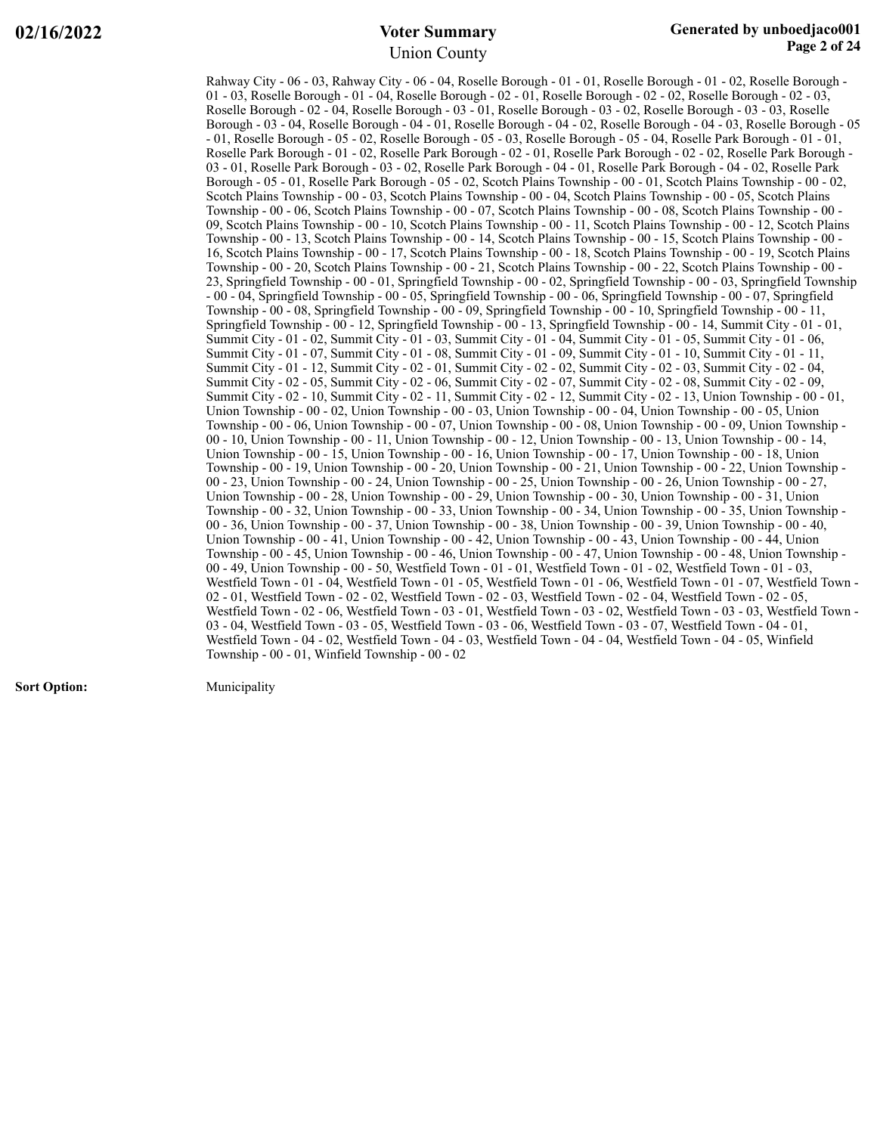Rahway City - 06 - 03, Rahway City - 06 - 04, Roselle Borough - 01 - 01, Roselle Borough - 01 - 02, Roselle Borough - 01 - 03, Roselle Borough - 01 - 04, Roselle Borough - 02 - 01, Roselle Borough - 02 - 02, Roselle Borough - 02 - 03, Roselle Borough - 02 - 04, Roselle Borough - 03 - 01, Roselle Borough - 03 - 02, Roselle Borough - 03 - 03, Roselle Borough - 03 - 04, Roselle Borough - 04 - 01, Roselle Borough - 04 - 02, Roselle Borough - 04 - 03, Roselle Borough - 05 - 01, Roselle Borough - 05 - 02, Roselle Borough - 05 - 03, Roselle Borough - 05 - 04, Roselle Park Borough - 01 - 01, Roselle Park Borough - 01 - 02, Roselle Park Borough - 02 - 01, Roselle Park Borough - 02 - 02, Roselle Park Borough - 03 - 01, Roselle Park Borough - 03 - 02, Roselle Park Borough - 04 - 01, Roselle Park Borough - 04 - 02, Roselle Park Borough - 05 - 01, Roselle Park Borough - 05 - 02, Scotch Plains Township - 00 - 01, Scotch Plains Township - 00 - 02, Scotch Plains Township - 00 - 03, Scotch Plains Township - 00 - 04, Scotch Plains Township - 00 - 05, Scotch Plains Township - 00 - 06, Scotch Plains Township - 00 - 07, Scotch Plains Township - 00 - 08, Scotch Plains Township - 00 - 09, Scotch Plains Township - 00 - 10, Scotch Plains Township - 00 - 11, Scotch Plains Township - 00 - 12, Scotch Plains Township - 00 - 13, Scotch Plains Township - 00 - 14, Scotch Plains Township - 00 - 15, Scotch Plains Township - 00 - 16, Scotch Plains Township - 00 - 17, Scotch Plains Township - 00 - 18, Scotch Plains Township - 00 - 19, Scotch Plains Township - 00 - 20, Scotch Plains Township - 00 - 21, Scotch Plains Township - 00 - 22, Scotch Plains Township - 00 - 23, Springfield Township - 00 - 01, Springfield Township - 00 - 02, Springfield Township - 00 - 03, Springfield Township - 00 - 04, Springfield Township - 00 - 05, Springfield Township - 00 - 06, Springfield Township - 00 - 07, Springfield Township - 00 - 08, Springfield Township - 00 - 09, Springfield Township - 00 - 10, Springfield Township - 00 - 11, Springfield Township - 00 - 12, Springfield Township - 00 - 13, Springfield Township - 00 - 14, Summit City - 01 - 01, Summit City - 01 - 02, Summit City - 01 - 03, Summit City - 01 - 04, Summit City - 01 - 05, Summit City - 01 - 06, Summit City - 01 - 07, Summit City - 01 - 08, Summit City - 01 - 09, Summit City - 01 - 10, Summit City - 01 - 11, Summit City - 01 - 12, Summit City - 02 - 01, Summit City - 02 - 02, Summit City - 02 - 03, Summit City - 02 - 04, Summit City - 02 - 05, Summit City - 02 - 06, Summit City - 02 - 07, Summit City - 02 - 08, Summit City - 02 - 09, Summit City - 02 - 10, Summit City - 02 - 11, Summit City - 02 - 12, Summit City - 02 - 13, Union Township - 00 - 01, Union Township - 00 - 02, Union Township - 00 - 03, Union Township - 00 - 04, Union Township - 00 - 05, Union Township - 00 - 06, Union Township - 00 - 07, Union Township - 00 - 08, Union Township - 00 - 09, Union Township - 00 - 10, Union Township - 00 - 11, Union Township - 00 - 12, Union Township - 00 - 13, Union Township - 00 - 14, Union Township - 00 - 15, Union Township - 00 - 16, Union Township - 00 - 17, Union Township - 00 - 18, Union Township - 00 - 19, Union Township - 00 - 20, Union Township - 00 - 21, Union Township - 00 - 22, Union Township - 00 - 23, Union Township - 00 - 24, Union Township - 00 - 25, Union Township - 00 - 26, Union Township - 00 - 27, Union Township - 00 - 28, Union Township - 00 - 29, Union Township - 00 - 30, Union Township - 00 - 31, Union Township - 00 - 32, Union Township - 00 - 33, Union Township - 00 - 34, Union Township - 00 - 35, Union Township - 00 - 36, Union Township - 00 - 37, Union Township - 00 - 38, Union Township - 00 - 39, Union Township - 00 - 40, Union Township - 00 - 41, Union Township - 00 - 42, Union Township - 00 - 43, Union Township - 00 - 44, Union Township - 00 - 45, Union Township - 00 - 46, Union Township - 00 - 47, Union Township - 00 - 48, Union Township - 00 - 49, Union Township - 00 - 50, Westfield Town - 01 - 01, Westfield Town - 01 - 02, Westfield Town - 01 - 03, Westfield Town - 01 - 04, Westfield Town - 01 - 05, Westfield Town - 01 - 06, Westfield Town - 01 - 07, Westfield Town - 02 - 01, Westfield Town - 02 - 02, Westfield Town - 02 - 03, Westfield Town - 02 - 04, Westfield Town - 02 - 05, Westfield Town - 02 - 06, Westfield Town - 03 - 01, Westfield Town - 03 - 02, Westfield Town - 03 - 03, Westfield Town - 03 - 04, Westfield Town - 03 - 05, Westfield Town - 03 - 06, Westfield Town - 03 - 07, Westfield Town - 04 - 01, Westfield Town - 04 - 02, Westfield Town - 04 - 03, Westfield Town - 04 - 04, Westfield Town - 04 - 05, Winfield Township - 00 - 01, Winfield Township - 00 - 02

**Sort Option:** Municipality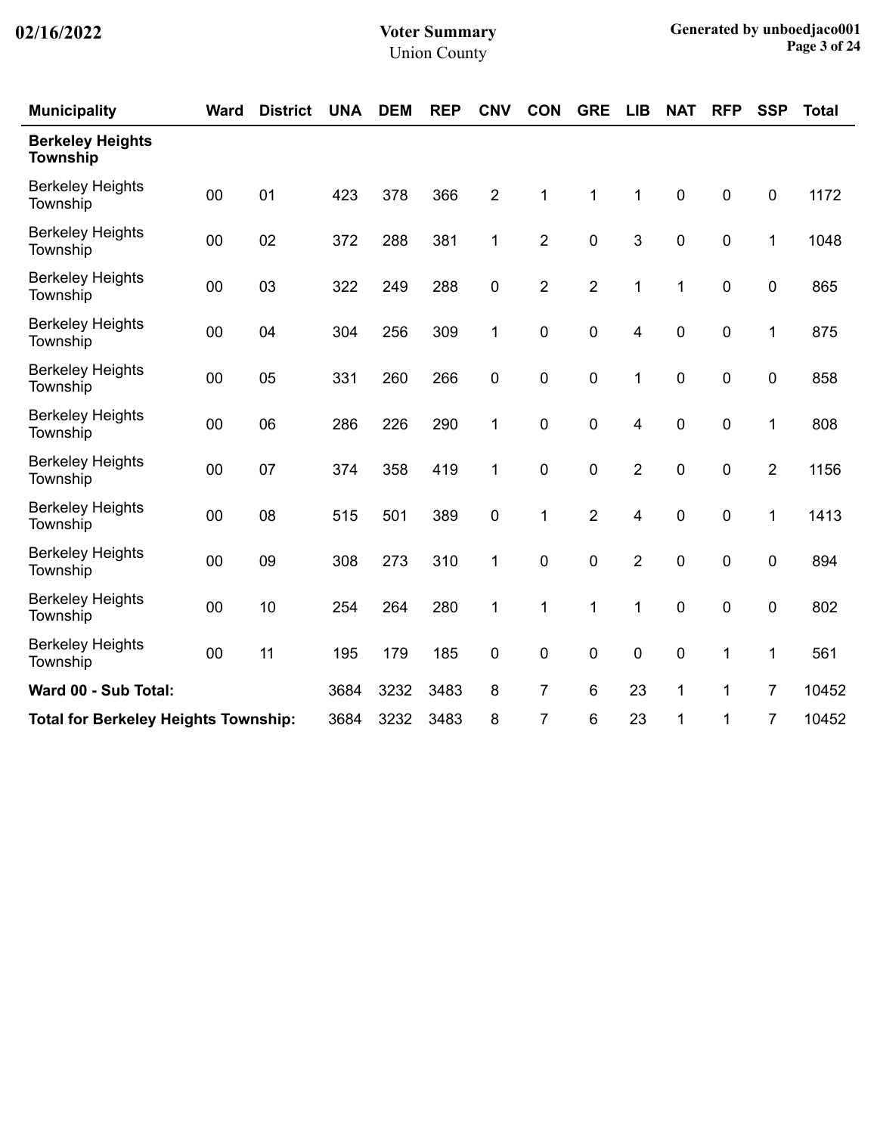| <b>Municipality</b>                        | <b>Ward</b>                                 | <b>District</b> | <b>UNA</b> | <b>DEM</b> | <b>REP</b> | <b>CNV</b>     | <b>CON</b>     | <b>GRE</b>     | <b>LIB</b>     | <b>NAT</b>  | <b>RFP</b> | <b>SSP</b>       | <b>Total</b> |
|--------------------------------------------|---------------------------------------------|-----------------|------------|------------|------------|----------------|----------------|----------------|----------------|-------------|------------|------------------|--------------|
| <b>Berkeley Heights</b><br><b>Township</b> |                                             |                 |            |            |            |                |                |                |                |             |            |                  |              |
| <b>Berkeley Heights</b><br>Township        | 00                                          | 01              | 423        | 378        | 366        | $\overline{2}$ | 1              | $\mathbf 1$    | $\mathbf 1$    | $\pmb{0}$   | 0          | $\boldsymbol{0}$ | 1172         |
| <b>Berkeley Heights</b><br>Township        | 00                                          | 02              | 372        | 288        | 381        | 1              | $\overline{2}$ | $\mathbf 0$    | $\mathbf{3}$   | $\pmb{0}$   | 0          | 1                | 1048         |
| <b>Berkeley Heights</b><br>Township        | 00                                          | 03              | 322        | 249        | 288        | 0              | $\overline{2}$ | $\overline{2}$ | $\mathbf 1$    | 1           | 0          | $\mathbf 0$      | 865          |
| <b>Berkeley Heights</b><br>Township        | 00                                          | 04              | 304        | 256        | 309        | 1              | $\pmb{0}$      | $\pmb{0}$      | 4              | $\pmb{0}$   | $\pmb{0}$  | 1                | 875          |
| <b>Berkeley Heights</b><br>Township        | 00                                          | 05              | 331        | 260        | 266        | 0              | $\mathbf 0$    | $\mathbf 0$    | 1              | $\mathbf 0$ | 0          | $\mathbf 0$      | 858          |
| <b>Berkeley Heights</b><br>Township        | 00                                          | 06              | 286        | 226        | 290        | 1              | $\mathbf 0$    | $\mathbf 0$    | 4              | $\mathbf 0$ | 0          | 1                | 808          |
| <b>Berkeley Heights</b><br>Township        | 00                                          | 07              | 374        | 358        | 419        | 1              | $\pmb{0}$      | 0              | $\overline{2}$ | $\mathbf 0$ | 0          | $\overline{2}$   | 1156         |
| <b>Berkeley Heights</b><br>Township        | 00                                          | 08              | 515        | 501        | 389        | 0              | 1              | $\overline{2}$ | 4              | $\mathbf 0$ | 0          | 1                | 1413         |
| <b>Berkeley Heights</b><br>Township        | 00                                          | 09              | 308        | 273        | 310        | 1              | $\mathbf 0$    | $\mathbf 0$    | $\overline{2}$ | $\pmb{0}$   | $\pmb{0}$  | $\pmb{0}$        | 894          |
| <b>Berkeley Heights</b><br>Township        | 00                                          | 10              | 254        | 264        | 280        | 1              | 1              | 1              | 1              | $\pmb{0}$   | $\pmb{0}$  | $\boldsymbol{0}$ | 802          |
| <b>Berkeley Heights</b><br>Township        | 00                                          | 11              | 195        | 179        | 185        | 0              | $\pmb{0}$      | 0              | 0              | $\pmb{0}$   | 1          | 1                | 561          |
| Ward 00 - Sub Total:                       |                                             |                 | 3684       | 3232       | 3483       | 8              | 7              | 6              | 23             | 1           | 1          | 7                | 10452        |
|                                            | <b>Total for Berkeley Heights Township:</b> |                 |            | 3232       | 3483       | 8              | 7              | 6              | 23             | 1           | 1          | 7                | 10452        |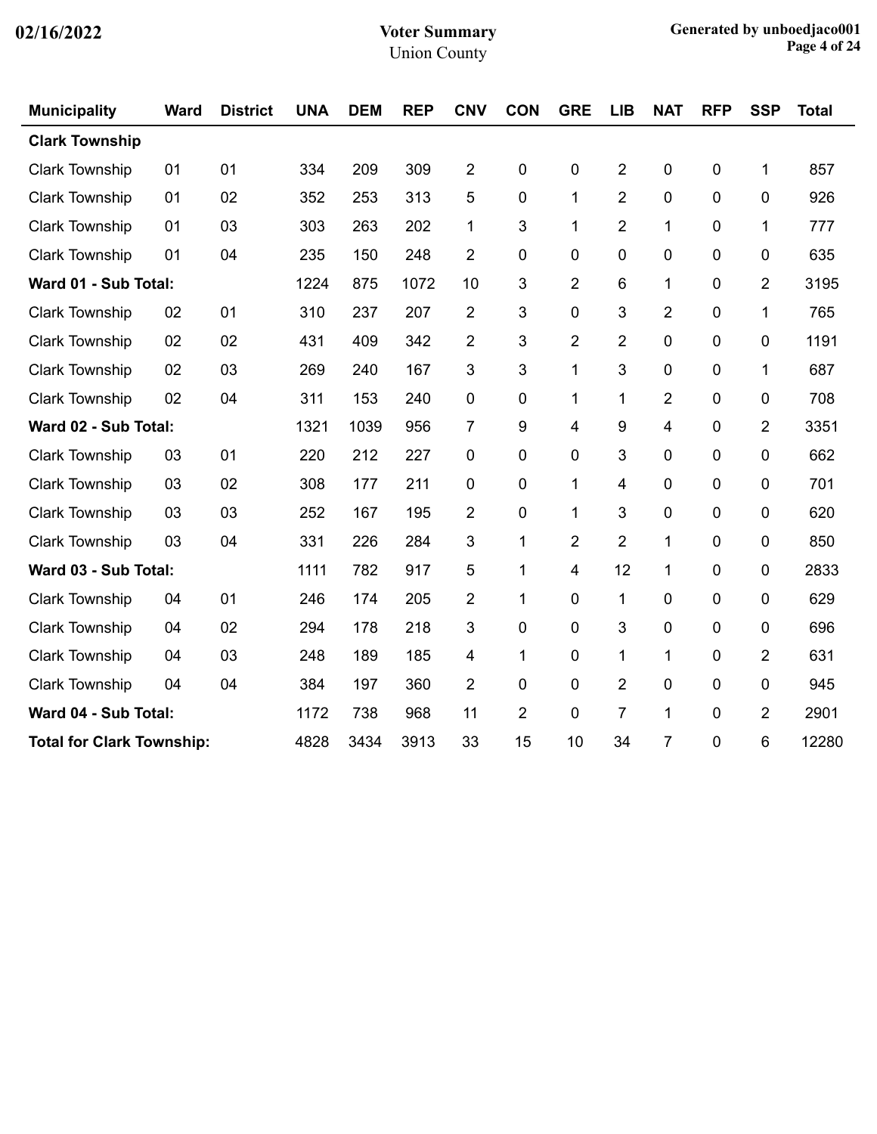| <b>Municipality</b>   | <b>Ward</b>                      | <b>District</b> | <b>UNA</b> | <b>DEM</b> | <b>REP</b> | <b>CNV</b>     | <b>CON</b>     | <b>GRE</b>     | <b>LIB</b>     | <b>NAT</b>     | <b>RFP</b>       | <b>SSP</b>     | <b>Total</b> |
|-----------------------|----------------------------------|-----------------|------------|------------|------------|----------------|----------------|----------------|----------------|----------------|------------------|----------------|--------------|
| <b>Clark Township</b> |                                  |                 |            |            |            |                |                |                |                |                |                  |                |              |
| <b>Clark Township</b> | 01                               | 01              | 334        | 209        | 309        | $\overline{2}$ | 0              | 0              | $\overline{2}$ | 0              | $\mathbf 0$      | 1              | 857          |
| <b>Clark Township</b> | 01                               | 02              | 352        | 253        | 313        | 5              | 0              | 1              | $\overline{2}$ | 0              | 0                | 0              | 926          |
| <b>Clark Township</b> | 01                               | 03              | 303        | 263        | 202        | 1              | 3              | 1              | $\overline{2}$ | 1              | 0                | 1              | 777          |
| <b>Clark Township</b> | 01                               | 04              | 235        | 150        | 248        | $\overline{2}$ | 0              | 0              | $\mathbf 0$    | 0              | $\mathbf 0$      | 0              | 635          |
| Ward 01 - Sub Total:  |                                  |                 | 1224       | 875        | 1072       | 10             | 3              | $\overline{2}$ | 6              | 1              | 0                | $\overline{2}$ | 3195         |
| <b>Clark Township</b> | 02                               | 01              | 310        | 237        | 207        | $\overline{2}$ | 3              | 0              | 3              | $\overline{2}$ | $\mathbf 0$      | 1              | 765          |
| Clark Township        | 02                               | 02              | 431        | 409        | 342        | $\overline{2}$ | 3              | $\overline{2}$ | $\overline{2}$ | 0              | $\mathbf 0$      | 0              | 1191         |
| <b>Clark Township</b> | 02                               | 03              | 269        | 240        | 167        | 3              | 3              | 1              | 3              | 0              | $\mathbf 0$      | 1              | 687          |
| <b>Clark Township</b> | 02                               | 04              | 311        | 153        | 240        | $\mathbf 0$    | 0              | 1              | 1              | $\overline{2}$ | 0                | 0              | 708          |
| Ward 02 - Sub Total:  |                                  |                 | 1321       | 1039       | 956        | $\overline{7}$ | 9              | 4              | 9              | 4              | 0                | $\overline{2}$ | 3351         |
| <b>Clark Township</b> | 03                               | 01              | 220        | 212        | 227        | $\mathbf 0$    | 0              | 0              | 3              | 0              | 0                | 0              | 662          |
| <b>Clark Township</b> | 03                               | 02              | 308        | 177        | 211        | $\mathbf 0$    | $\mathbf 0$    | 1              | 4              | $\mathbf 0$    | $\mathbf 0$      | 0              | 701          |
| <b>Clark Township</b> | 03                               | 03              | 252        | 167        | 195        | $\overline{2}$ | 0              | 1              | 3              | 0              | 0                | 0              | 620          |
| <b>Clark Township</b> | 03                               | 04              | 331        | 226        | 284        | 3              | 1              | $\overline{2}$ | $\overline{2}$ | $\mathbf{1}$   | 0                | 0              | 850          |
| Ward 03 - Sub Total:  |                                  |                 | 1111       | 782        | 917        | 5              | 1              | 4              | 12             | 1              | $\mathbf 0$      | 0              | 2833         |
| <b>Clark Township</b> | 04                               | 01              | 246        | 174        | 205        | 2              | 1              | 0              | 1              | 0              | $\boldsymbol{0}$ | 0              | 629          |
| <b>Clark Township</b> | 04                               | 02              | 294        | 178        | 218        | 3              | 0              | 0              | 3              | 0              | 0                | 0              | 696          |
| <b>Clark Township</b> | 04                               | 03              | 248        | 189        | 185        | 4              | 1              | 0              | 1              | $\mathbf{1}$   | 0                | 2              | 631          |
| <b>Clark Township</b> | 04                               | 04              | 384        | 197        | 360        | $\overline{2}$ | 0              | 0              | $\overline{2}$ | 0              | 0                | 0              | 945          |
| Ward 04 - Sub Total:  |                                  |                 | 1172       | 738        | 968        | 11             | $\overline{c}$ | 0              | $\overline{7}$ | 1              | 0                | $\overline{2}$ | 2901         |
|                       | <b>Total for Clark Township:</b> |                 |            | 3434       | 3913       | 33             | 15             | 10             | 34             | $\overline{7}$ | 0                | 6              | 12280        |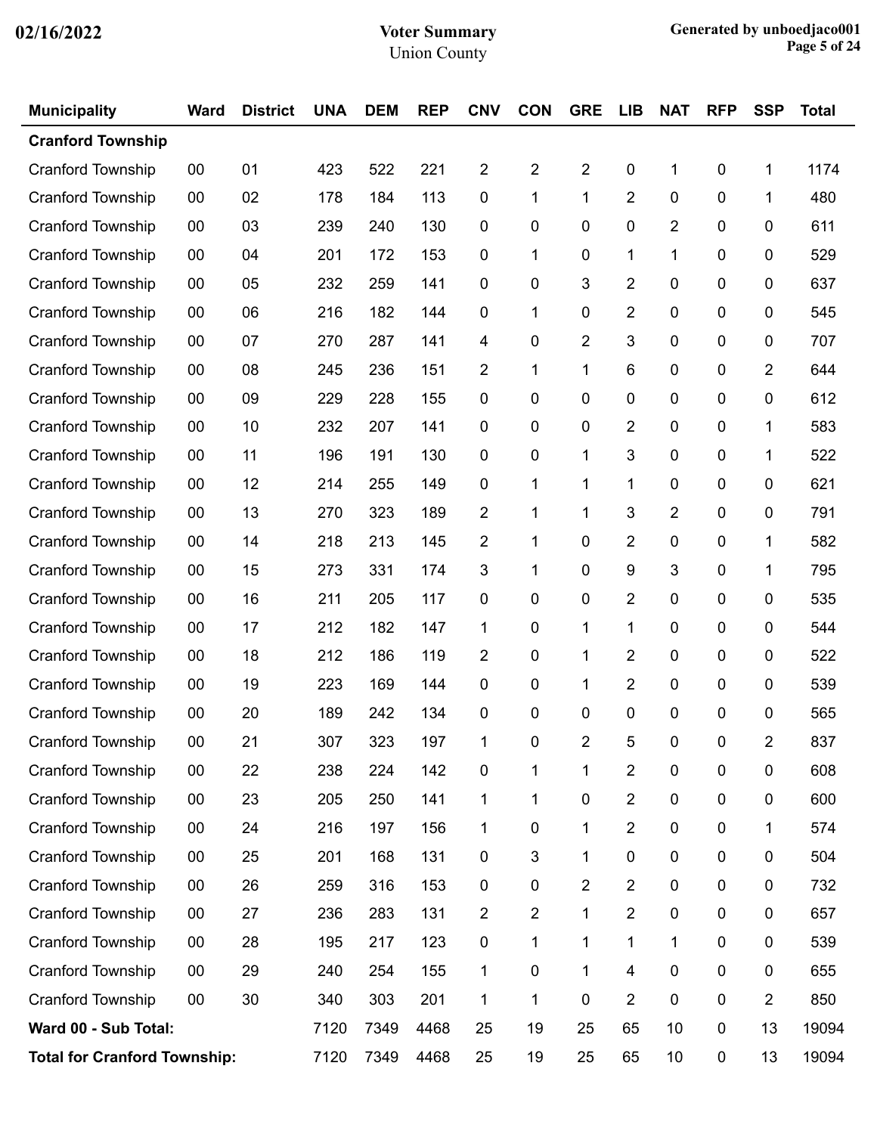| <b>Municipality</b>      | <b>Ward</b>                         | <b>District</b> | <b>UNA</b> | <b>DEM</b> | <b>REP</b> | <b>CNV</b>              | <b>CON</b>     | <b>GRE</b>     | <b>LIB</b>              | <b>NAT</b>              | <b>RFP</b> | <b>SSP</b>     | <b>Total</b> |
|--------------------------|-------------------------------------|-----------------|------------|------------|------------|-------------------------|----------------|----------------|-------------------------|-------------------------|------------|----------------|--------------|
| <b>Cranford Township</b> |                                     |                 |            |            |            |                         |                |                |                         |                         |            |                |              |
| <b>Cranford Township</b> | $00\,$                              | 01              | 423        | 522        | 221        | $\overline{\mathbf{c}}$ | $\overline{2}$ | $\overline{2}$ | 0                       | 1                       | 0          | 1              | 1174         |
| Cranford Township        | $00\,$                              | 02              | 178        | 184        | 113        | $\mathbf 0$             | 1              | 1              | 2                       | $\pmb{0}$               | 0          | 1              | 480          |
| <b>Cranford Township</b> | $00\,$                              | 03              | 239        | 240        | 130        | $\mathbf 0$             | 0              | 0              | 0                       | $\overline{2}$          | 0          | 0              | 611          |
| <b>Cranford Township</b> | 00                                  | 04              | 201        | 172        | 153        | $\mathbf 0$             | 1              | 0              | 1                       | 1                       | 0          | 0              | 529          |
| Cranford Township        | $00\,$                              | 05              | 232        | 259        | 141        | $\mathbf 0$             | 0              | 3              | $\overline{2}$          | $\pmb{0}$               | 0          | 0              | 637          |
| <b>Cranford Township</b> | $00\,$                              | 06              | 216        | 182        | 144        | $\mathbf 0$             | 1              | 0              | 2                       | 0                       | 0          | 0              | 545          |
| <b>Cranford Township</b> | 00                                  | 07              | 270        | 287        | 141        | 4                       | 0              | 2              | 3                       | $\pmb{0}$               | 0          | 0              | 707          |
| <b>Cranford Township</b> | $00\,$                              | 08              | 245        | 236        | 151        | $\overline{2}$          | 1              | 1              | 6                       | $\pmb{0}$               | 0          | $\overline{2}$ | 644          |
| <b>Cranford Township</b> | $00\,$                              | 09              | 229        | 228        | 155        | 0                       | 0              | 0              | 0                       | 0                       | 0          | 0              | 612          |
| <b>Cranford Township</b> | 00                                  | 10              | 232        | 207        | 141        | $\mathbf 0$             | 0              | 0              | 2                       | $\pmb{0}$               | 0          | 1              | 583          |
| <b>Cranford Township</b> | $00\,$                              | 11              | 196        | 191        | 130        | $\mathbf 0$             | 0              | 1              | 3                       | $\pmb{0}$               | 0          | 1              | 522          |
| <b>Cranford Township</b> | $00\,$                              | 12              | 214        | 255        | 149        | $\mathbf 0$             | 1              | 1              | 1                       | 0                       | 0          | 0              | 621          |
| <b>Cranford Township</b> | 00                                  | 13              | 270        | 323        | 189        | $\overline{c}$          | 1              | 1              | 3                       | $\overline{\mathbf{c}}$ | 0          | 0              | 791          |
| Cranford Township        | $00\,$                              | 14              | 218        | 213        | 145        | $\overline{2}$          | 1              | 0              | 2                       | $\pmb{0}$               | 0          | 1              | 582          |
| <b>Cranford Township</b> | $00\,$                              | 15              | 273        | 331        | 174        | 3                       | 1              | 0              | 9                       | 3                       | 0          | 1              | 795          |
| <b>Cranford Township</b> | $00\,$                              | 16              | 211        | 205        | 117        | $\mathbf 0$             | 0              | 0              | 2                       | $\pmb{0}$               | 0          | 0              | 535          |
| Cranford Township        | $00\,$                              | 17              | 212        | 182        | 147        | 1                       | 0              | 1              | 1                       | $\pmb{0}$               | 0          | 0              | 544          |
| <b>Cranford Township</b> | $00\,$                              | 18              | 212        | 186        | 119        | $\overline{c}$          | 0              | 1              | 2                       | 0                       | 0          | 0              | 522          |
| <b>Cranford Township</b> | $00\,$                              | 19              | 223        | 169        | 144        | $\mathbf 0$             | 0              | 1              | 2                       | $\pmb{0}$               | 0          | 0              | 539          |
| <b>Cranford Township</b> | $00\,$                              | 20              | 189        | 242        | 134        | $\mathbf 0$             | 0              | 0              | 0                       | 0                       | 0          | 0              | 565          |
| Cranford Township        | 00                                  | 21              | 307        | 323        | 197        | 1                       | 0              | 2              | 5                       | 0                       | 0          | 2              | 837          |
| Cranford Township        | 00                                  | 22              | 238        | 224        | 142        | 0                       | 1              | 1              | $\overline{\mathbf{c}}$ | $\pmb{0}$               | 0          | $\mathbf 0$    | 608          |
| Cranford Township        | $00\,$                              | 23              | 205        | 250        | 141        | 1                       | 1              | 0              | $\overline{\mathbf{c}}$ | $\pmb{0}$               | $\pmb{0}$  | $\pmb{0}$      | 600          |
| Cranford Township        | $00\,$                              | 24              | 216        | 197        | 156        | 1                       | 0              | 1              | $\overline{\mathbf{c}}$ | $\pmb{0}$               | 0          | 1              | 574          |
| Cranford Township        | 00                                  | 25              | 201        | 168        | 131        | $\pmb{0}$               | 3              | 1              | 0                       | $\pmb{0}$               | 0          | 0              | 504          |
| Cranford Township        | $00\,$                              | 26              | 259        | 316        | 153        | $\pmb{0}$               | 0              | 2              | $\overline{\mathbf{c}}$ | $\pmb{0}$               | $\pmb{0}$  | $\pmb{0}$      | 732          |
| Cranford Township        | $00\,$                              | 27              | 236        | 283        | 131        | $\overline{c}$          | 2              | 1              | $\overline{\mathbf{c}}$ | $\pmb{0}$               | 0          | 0              | 657          |
| Cranford Township        | 00                                  | 28              | 195        | 217        | 123        | 0                       | 1              | 1              | 1                       | 1                       | $\pmb{0}$  | 0              | 539          |
| Cranford Township        | $00\,$                              | 29              | 240        | 254        | 155        | 1                       | 0              | 1              | 4                       | $\pmb{0}$               | $\pmb{0}$  | $\pmb{0}$      | 655          |
| Cranford Township        | $00\,$                              | 30              | 340        | 303        | 201        | 1                       | 1              | 0              | 2                       | $\pmb{0}$               | 0          | $\overline{2}$ | 850          |
| Ward 00 - Sub Total:     |                                     |                 | 7120       | 7349       | 4468       | 25                      | 19             | 25             | 65                      | 10                      | $\pmb{0}$  | 13             | 19094        |
|                          | <b>Total for Cranford Township:</b> |                 |            | 7349       | 4468       | 25                      | 19             | 25             | 65                      | 10                      | $\pmb{0}$  | 13             | 19094        |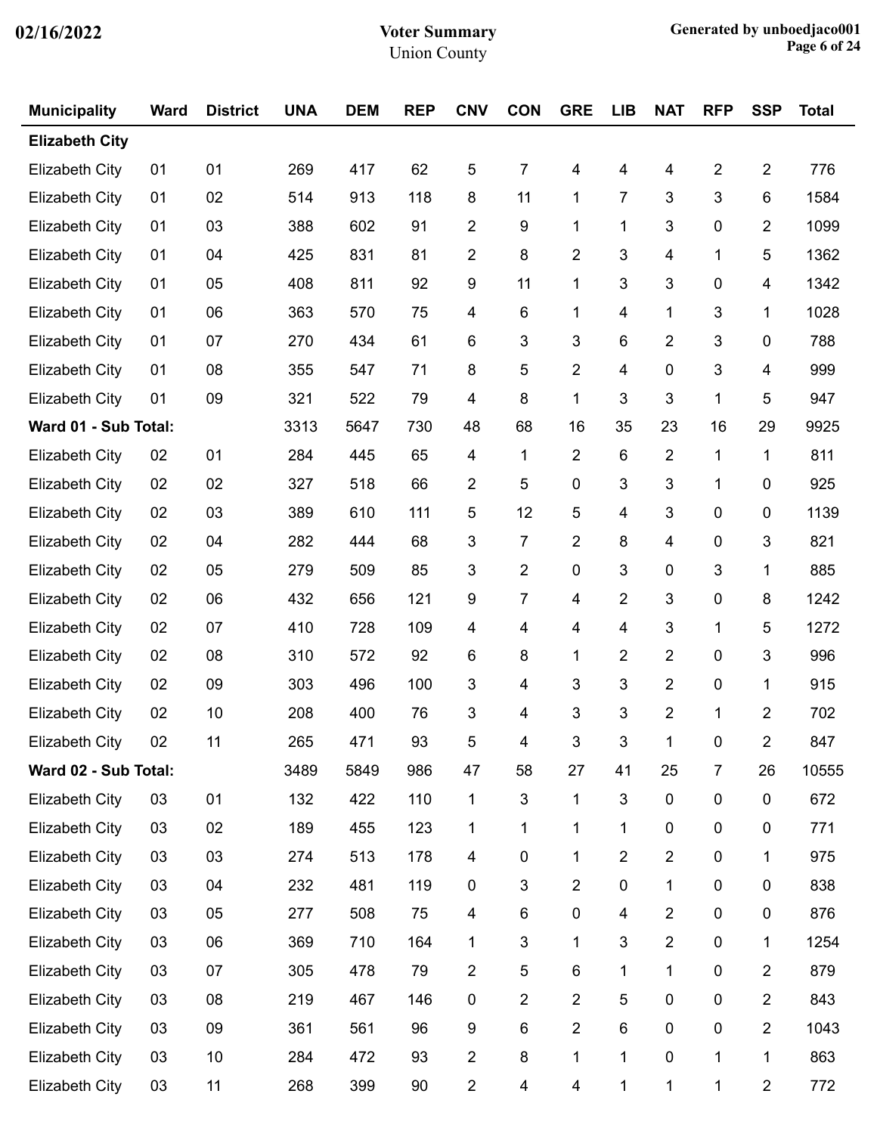| <b>Municipality</b>   | <b>Ward</b> | <b>District</b> | <b>UNA</b> | <b>DEM</b> | <b>REP</b> | <b>CNV</b>              | <b>CON</b>     | <b>GRE</b>              | <b>LIB</b>              | <b>NAT</b>              | <b>RFP</b>     | <b>SSP</b>     | <b>Total</b> |
|-----------------------|-------------|-----------------|------------|------------|------------|-------------------------|----------------|-------------------------|-------------------------|-------------------------|----------------|----------------|--------------|
| <b>Elizabeth City</b> |             |                 |            |            |            |                         |                |                         |                         |                         |                |                |              |
| Elizabeth City        | 01          | 01              | 269        | 417        | 62         | 5                       | 7              | 4                       | 4                       | 4                       | $\overline{2}$ | $\overline{2}$ | 776          |
| <b>Elizabeth City</b> | 01          | 02              | 514        | 913        | 118        | 8                       | 11             | 1                       | 7                       | 3                       | 3              | 6              | 1584         |
| <b>Elizabeth City</b> | 01          | 03              | 388        | 602        | 91         | 2                       | 9              | 1                       | 1                       | $\mathfrak{S}$          | $\mathbf 0$    | $\overline{2}$ | 1099         |
| Elizabeth City        | 01          | 04              | 425        | 831        | 81         | $\overline{c}$          | 8              | 2                       | 3                       | 4                       | 1              | 5              | 1362         |
| <b>Elizabeth City</b> | 01          | 05              | 408        | 811        | 92         | $\boldsymbol{9}$        | 11             | 1                       | 3                       | $\mathfrak{S}$          | $\pmb{0}$      | 4              | 1342         |
| <b>Elizabeth City</b> | 01          | 06              | 363        | 570        | 75         | 4                       | 6              | 1                       | 4                       | 1                       | $\mathfrak{B}$ | 1              | 1028         |
| <b>Elizabeth City</b> | 01          | 07              | 270        | 434        | 61         | 6                       | 3              | 3                       | 6                       | $\overline{2}$          | $\mathfrak{B}$ | 0              | 788          |
| <b>Elizabeth City</b> | 01          | 08              | 355        | 547        | 71         | 8                       | 5              | $\overline{\mathbf{c}}$ | $\overline{\mathbf{4}}$ | 0                       | 3              | 4              | 999          |
| Elizabeth City        | 01          | 09              | 321        | 522        | 79         | 4                       | 8              | 1                       | 3                       | 3                       | 1              | 5              | 947          |
| Ward 01 - Sub Total:  |             |                 | 3313       | 5647       | 730        | 48                      | 68             | 16                      | 35                      | 23                      | 16             | 29             | 9925         |
| <b>Elizabeth City</b> | 02          | 01              | 284        | 445        | 65         | $\overline{\mathbf{4}}$ | $\mathbf{1}$   | $\overline{2}$          | 6                       | $\overline{2}$          | 1              | 1              | 811          |
| <b>Elizabeth City</b> | 02          | 02              | 327        | 518        | 66         | $\overline{2}$          | 5              | $\pmb{0}$               | 3                       | $\mathfrak{S}$          | 1              | $\mathbf 0$    | 925          |
| <b>Elizabeth City</b> | 02          | 03              | 389        | 610        | 111        | 5                       | 12             | 5                       | 4                       | 3                       | $\mathbf 0$    | 0              | 1139         |
| <b>Elizabeth City</b> | 02          | 04              | 282        | 444        | 68         | 3                       | $\overline{7}$ | $\overline{\mathbf{c}}$ | 8                       | $\overline{\mathbf{4}}$ | 0              | 3              | 821          |
| <b>Elizabeth City</b> | 02          | 05              | 279        | 509        | 85         | $\mathfrak{S}$          | $\overline{2}$ | $\pmb{0}$               | 3                       | 0                       | 3              | 1              | 885          |
| <b>Elizabeth City</b> | 02          | 06              | 432        | 656        | 121        | 9                       | 7              | 4                       | $\overline{\mathbf{c}}$ | 3                       | $\pmb{0}$      | 8              | 1242         |
| <b>Elizabeth City</b> | 02          | 07              | 410        | 728        | 109        | $\overline{\mathbf{4}}$ | 4              | 4                       | $\overline{\mathbf{4}}$ | 3                       | 1              | 5              | 1272         |
| <b>Elizabeth City</b> | 02          | 08              | 310        | 572        | 92         | 6                       | 8              | 1                       | 2                       | $\overline{2}$          | $\mathbf 0$    | 3              | 996          |
| <b>Elizabeth City</b> | 02          | 09              | 303        | 496        | 100        | 3                       | 4              | 3                       | 3                       | $\overline{2}$          | $\pmb{0}$      | 1              | 915          |
| <b>Elizabeth City</b> | 02          | 10              | 208        | 400        | 76         | 3                       | 4              | 3                       | 3                       | $\overline{2}$          | 1              | $\overline{2}$ | 702          |
| <b>Elizabeth City</b> | 02          | 11              | 265        | 471        | 93         | 5                       | 4              | 3                       | $\sqrt{3}$              | $\mathbf{1}$            | $\pmb{0}$      | $\overline{2}$ | 847          |
| Ward 02 - Sub Total:  |             |                 | 3489       | 5849       | 986        | 47                      | 58             | 27                      | 41                      | 25                      | $\overline{7}$ | 26             | 10555        |
| <b>Elizabeth City</b> | 03          | 01              | 132        | 422        | 110        | 1                       | 3              | 1                       | 3                       | 0                       | $\pmb{0}$      | 0              | 672          |
| <b>Elizabeth City</b> | 03          | 02              | 189        | 455        | 123        | 1                       | 1              | 1                       | 1                       | 0                       | $\pmb{0}$      | 0              | 771          |
| <b>Elizabeth City</b> | 03          | 03              | 274        | 513        | 178        | 4                       | 0              | 1                       | $\overline{c}$          | $\overline{c}$          | $\pmb{0}$      | 1              | 975          |
| <b>Elizabeth City</b> | 03          | 04              | 232        | 481        | 119        | $\pmb{0}$               | 3              | $\overline{2}$          | $\pmb{0}$               | $\mathbf 1$             | $\pmb{0}$      | 0              | 838          |
| <b>Elizabeth City</b> | 03          | 05              | 277        | 508        | 75         | 4                       | 6              | $\pmb{0}$               | 4                       | $\overline{2}$          | $\pmb{0}$      | 0              | 876          |
| <b>Elizabeth City</b> | 03          | 06              | 369        | 710        | 164        | 1                       | 3              | 1                       | 3                       | $\overline{c}$          | $\pmb{0}$      | 1              | 1254         |
| <b>Elizabeth City</b> | 03          | 07              | 305        | 478        | 79         | $\overline{2}$          | 5              | $\,6$                   | 1                       | $\mathbf 1$             | $\pmb{0}$      | $\overline{2}$ | 879          |
| <b>Elizabeth City</b> | 03          | 08              | 219        | 467        | 146        | $\pmb{0}$               | $\overline{2}$ | $\overline{2}$          | 5                       | 0                       | $\pmb{0}$      | $\overline{2}$ | 843          |
| <b>Elizabeth City</b> | 03          | 09              | 361        | 561        | 96         | 9                       | 6              | $\overline{c}$          | 6                       | 0                       | $\pmb{0}$      | $\overline{2}$ | 1043         |
| <b>Elizabeth City</b> | 03          | 10              | 284        | 472        | 93         | $\overline{2}$          | 8              | 1                       | 1                       | $\pmb{0}$               | 1              | 1              | 863          |
| <b>Elizabeth City</b> | 03          | 11              | 268        | 399        | 90         | $\overline{c}$          | 4              | 4                       | 1                       | $\mathbf 1$             | 1              | $\overline{2}$ | 772          |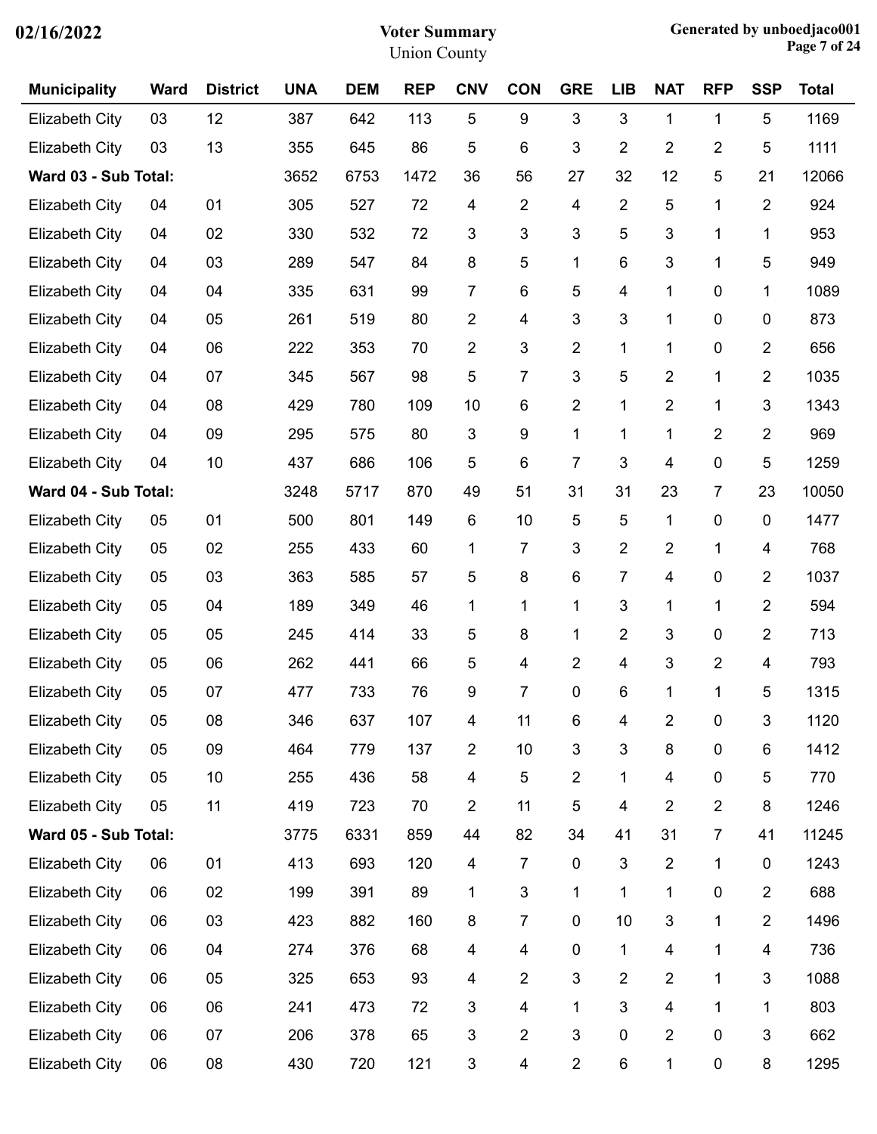| <b>Municipality</b>   | <b>Ward</b> | <b>District</b> | <b>UNA</b> | <b>DEM</b> | <b>REP</b> | <b>CNV</b>              | <b>CON</b>              | <b>GRE</b>     | <b>LIB</b>     | <b>NAT</b>              | <b>RFP</b>     | <b>SSP</b>     | <b>Total</b> |
|-----------------------|-------------|-----------------|------------|------------|------------|-------------------------|-------------------------|----------------|----------------|-------------------------|----------------|----------------|--------------|
| <b>Elizabeth City</b> | 03          | 12              | 387        | 642        | 113        | 5                       | 9                       | 3              | 3              | $\mathbf{1}$            | 1              | 5              | 1169         |
| <b>Elizabeth City</b> | 03          | 13              | 355        | 645        | 86         | 5                       | 6                       | 3              | $\overline{2}$ | $\overline{2}$          | 2              | 5              | 1111         |
| Ward 03 - Sub Total:  |             |                 | 3652       | 6753       | 1472       | 36                      | 56                      | 27             | 32             | 12                      | 5              | 21             | 12066        |
| <b>Elizabeth City</b> | 04          | 01              | 305        | 527        | 72         | 4                       | $\overline{2}$          | 4              | $\overline{2}$ | 5                       | 1              | $\overline{2}$ | 924          |
| <b>Elizabeth City</b> | 04          | 02              | 330        | 532        | 72         | 3                       | 3                       | 3              | 5              | 3                       | 1              | 1              | 953          |
| <b>Elizabeth City</b> | 04          | 03              | 289        | 547        | 84         | 8                       | 5                       | 1              | 6              | $\mathfrak{S}$          | 1              | 5              | 949          |
| <b>Elizabeth City</b> | 04          | 04              | 335        | 631        | 99         | 7                       | 6                       | 5              | 4              | 1                       | 0              | 1              | 1089         |
| <b>Elizabeth City</b> | 04          | 05              | 261        | 519        | 80         | $\overline{c}$          | 4                       | 3              | 3              | 1                       | 0              | 0              | 873          |
| <b>Elizabeth City</b> | 04          | 06              | 222        | 353        | 70         | 2                       | $\mathfrak{S}$          | $\overline{2}$ | 1              | 1                       | 0              | $\overline{2}$ | 656          |
| <b>Elizabeth City</b> | 04          | 07              | 345        | 567        | 98         | 5                       | $\overline{7}$          | 3              | 5              | $\overline{2}$          | 1              | $\overline{2}$ | 1035         |
| <b>Elizabeth City</b> | 04          | 08              | 429        | 780        | 109        | 10                      | 6                       | $\overline{2}$ | 1              | $\overline{2}$          | 1              | 3              | 1343         |
| <b>Elizabeth City</b> | 04          | 09              | 295        | 575        | 80         | 3                       | 9                       | 1              | 1              | 1                       | 2              | $\overline{2}$ | 969          |
| <b>Elizabeth City</b> | 04          | 10              | 437        | 686        | 106        | 5                       | 6                       | $\overline{7}$ | 3              | 4                       | 0              | 5              | 1259         |
| Ward 04 - Sub Total:  |             |                 | 3248       | 5717       | 870        | 49                      | 51                      | 31             | 31             | 23                      | 7              | 23             | 10050        |
| <b>Elizabeth City</b> | 05          | 01              | 500        | 801        | 149        | 6                       | 10                      | 5              | 5              | 1                       | 0              | $\pmb{0}$      | 1477         |
| <b>Elizabeth City</b> | 05          | 02              | 255        | 433        | 60         | 1                       | $\overline{7}$          | 3              | $\overline{2}$ | $\overline{2}$          | 1              | 4              | 768          |
| <b>Elizabeth City</b> | 05          | 03              | 363        | 585        | 57         | 5                       | 8                       | 6              | $\overline{7}$ | 4                       | 0              | $\overline{2}$ | 1037         |
| <b>Elizabeth City</b> | 05          | 04              | 189        | 349        | 46         | 1                       | 1                       | 1              | 3              | 1                       | 1              | $\overline{2}$ | 594          |
| Elizabeth City        | 05          | 05              | 245        | 414        | 33         | 5                       | 8                       | 1              | $\overline{2}$ | $\mathfrak{S}$          | 0              | $\overline{2}$ | 713          |
| <b>Elizabeth City</b> | 05          | 06              | 262        | 441        | 66         | 5                       | 4                       | $\overline{2}$ | 4              | $\mathfrak{S}$          | $\overline{2}$ | 4              | 793          |
| <b>Elizabeth City</b> | 05          | 07              | 477        | 733        | 76         | 9                       | 7                       | 0              | 6              | 1                       | 1              | 5              | 1315         |
| <b>Elizabeth City</b> | 05          | 08              | 346        | 637        | 107        | 4                       | 11                      | 6              | 4              | $\overline{c}$          | 0              | 3              | 1120         |
| <b>Elizabeth City</b> | 05          | 09              | 464        | 779        | 137        | $\overline{2}$          | 10                      | 3              | 3              | 8                       | $\pmb{0}$      | $\,6$          | 1412         |
| <b>Elizabeth City</b> | 05          | 10              | 255        | 436        | 58         | $\overline{\mathbf{4}}$ | 5                       | $\overline{2}$ | 1              | $\overline{\mathbf{4}}$ | $\pmb{0}$      | 5              | 770          |
| <b>Elizabeth City</b> | 05          | 11              | 419        | 723        | 70         | 2                       | 11                      | 5              | 4              | $\overline{2}$          | $\overline{2}$ | $\bf 8$        | 1246         |
| Ward 05 - Sub Total:  |             |                 | 3775       | 6331       | 859        | 44                      | 82                      | 34             | 41             | 31                      | 7              | 41             | 11245        |
| <b>Elizabeth City</b> | 06          | 01              | 413        | 693        | 120        | 4                       | $\overline{7}$          | $\mathbf 0$    | 3              | $\overline{2}$          | 1              | $\mathbf 0$    | 1243         |
| <b>Elizabeth City</b> | 06          | 02              | 199        | 391        | 89         | 1                       | $\mathfrak{S}$          | 1              | 1              | 1                       | 0              | $\overline{2}$ | 688          |
| <b>Elizabeth City</b> | 06          | 03              | 423        | 882        | 160        | 8                       | $\overline{7}$          | $\pmb{0}$      | 10             | $\sqrt{3}$              | 1              | $\overline{2}$ | 1496         |
| <b>Elizabeth City</b> | 06          | 04              | 274        | 376        | 68         | $\overline{\mathbf{4}}$ | 4                       | $\pmb{0}$      | 1              | $\overline{\mathbf{4}}$ | 1              | 4              | 736          |
| <b>Elizabeth City</b> | 06          | 05              | 325        | 653        | 93         | 4                       | $\overline{2}$          | 3              | $\overline{2}$ | $\overline{2}$          | 1              | 3              | 1088         |
| <b>Elizabeth City</b> | 06          | 06              | 241        | 473        | 72         | 3                       | $\overline{\mathbf{4}}$ | 1              | 3              | $\overline{\mathbf{4}}$ | 1              | 1              | 803          |
| <b>Elizabeth City</b> | 06          | 07              | 206        | 378        | 65         | 3                       | $\overline{2}$          | 3              | 0              | $\overline{2}$          | $\pmb{0}$      | 3              | 662          |
| <b>Elizabeth City</b> | 06          | 08              | 430        | 720        | 121        | 3                       | $\overline{\mathbf{4}}$ | $\mathbf{2}$   | 6              | 1                       | 0              | 8              | 1295         |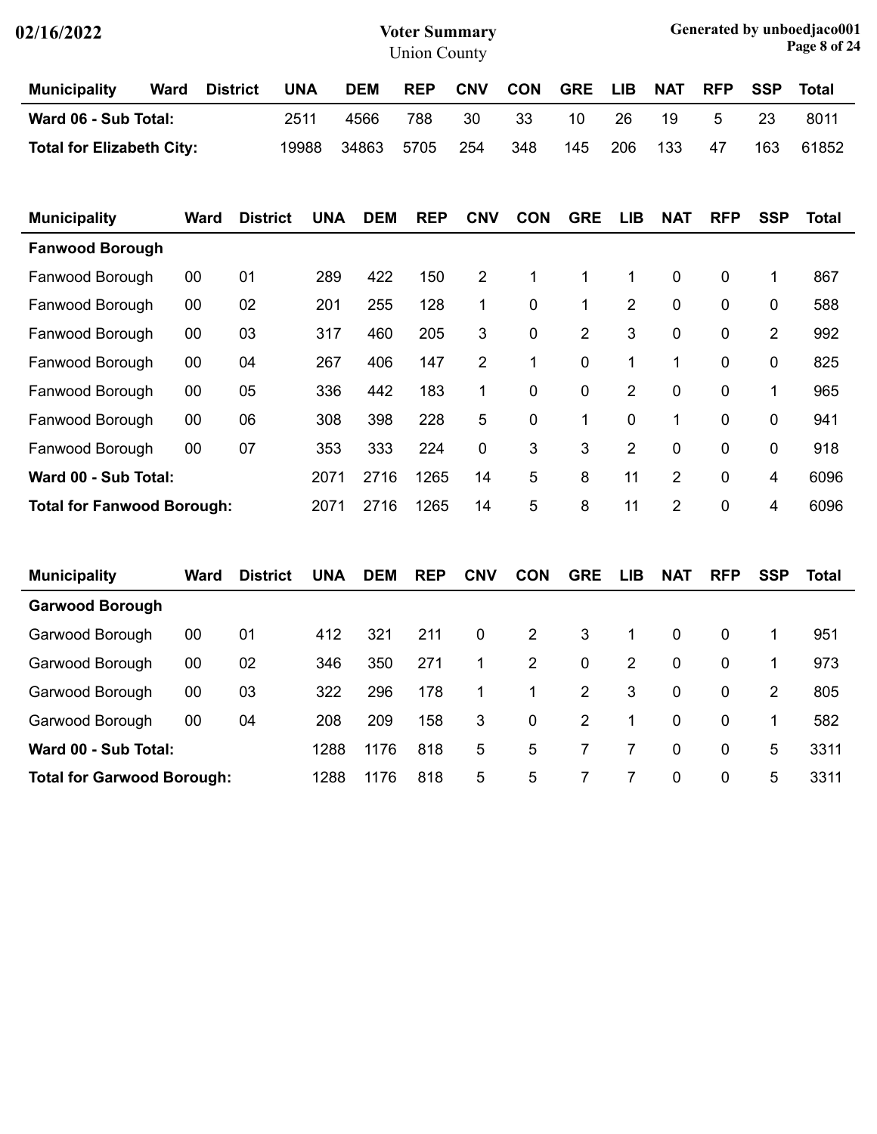| 02/16/2022                       |             |                 |            |            | <b>Voter Summary</b><br><b>Union County</b> |                | Generated by unboedjaco001<br>Page 8 of 24 |                |                |             |            |            |              |
|----------------------------------|-------------|-----------------|------------|------------|---------------------------------------------|----------------|--------------------------------------------|----------------|----------------|-------------|------------|------------|--------------|
| <b>Municipality</b>              | <b>Ward</b> | <b>District</b> | <b>UNA</b> | <b>DEM</b> | <b>REP</b>                                  | <b>CNV</b>     | <b>CON</b>                                 | <b>GRE</b>     | <b>LIB</b>     | <b>NAT</b>  | <b>RFP</b> | <b>SSP</b> | Total        |
| Ward 06 - Sub Total:             |             | 2511            |            | 4566       | 788                                         | 30             | 33                                         | 10             | 26             | 19          | 5          | 23         | 8011         |
| <b>Total for Elizabeth City:</b> |             |                 | 19988      | 34863      | 5705                                        | 254            | 348                                        | 145            | 206            | 133         | 47         | 163        | 61852        |
| <b>Municipality</b>              | <b>Ward</b> | <b>District</b> | UNA        | <b>DEM</b> | <b>REP</b>                                  | <b>CNV</b>     | <b>CON</b>                                 | <b>GRE</b>     | LIB            | <b>NAT</b>  | <b>RFP</b> | <b>SSP</b> | <b>Total</b> |
| <b>Fanwood Borough</b>           |             |                 |            |            |                                             |                |                                            |                |                |             |            |            |              |
| Fanwood Borough                  | 00          | 01              | 289        | 422        | 150                                         | $\overline{2}$ | $\mathbf 1$                                | 1              | $\mathbf 1$    | $\mathbf 0$ | 0          | 1          | 867          |
| Fanwood Borough                  | 00          | 02              | 201        | 255        | 128                                         | 1              | 0                                          | 1              | $\overline{2}$ | $\mathbf 0$ | 0          | 0          | 588          |
| Fanwood Borough                  | 00          | 03              | 317        | 460        | 205                                         | 3              | $\mathbf 0$                                | $\overline{2}$ | 3              | $\mathbf 0$ | 0          | 2          | 992          |

Fanwood Borough 00 04 267 406 147 2 1 0 1 1 0 0 825 Fanwood Borough 00 05 336 442 183 1 0 0 2 0 0 1 965 Fanwood Borough 00 06 308 398 228 5 0 1 0 1 0 0 941

Fanwood Borough 00 07 353 333 224 0 3 3 2 0 0 0 918 **Ward 00 - Sub Total:** 2071 2716 1265 14 5 8 11 2 0 4 6096

**Total for Fanwood Borough:** 2071 2716 1265 14 5 8 11 2 0 4 6096

| <b>Municipality</b>    | Ward                              | <b>District</b> | <b>UNA</b> | <b>DEM</b> | <b>REP</b> | <b>CNV</b>  | <b>CON</b>     | <b>GRE</b>  | <b>LIB</b> | <b>NAT</b>  | <b>RFP</b>  | <b>SSP</b> | Total |
|------------------------|-----------------------------------|-----------------|------------|------------|------------|-------------|----------------|-------------|------------|-------------|-------------|------------|-------|
| <b>Garwood Borough</b> |                                   |                 |            |            |            |             |                |             |            |             |             |            |       |
| Garwood Borough        | 00                                | 01              | 412        | 321        | 211        | $\mathbf 0$ | $\overline{2}$ | 3           | 1          | $\mathbf 0$ | $\mathbf 0$ | 1          | 951   |
| Garwood Borough        | 00                                | 02              | 346        | 350        | 271        | 1           | $\overline{2}$ | $\mathbf 0$ | 2          | $\mathbf 0$ | $\mathbf 0$ |            | 973   |
| Garwood Borough        | 00                                | 03              | 322        | 296        | 178        | 1           | 1              | 2           | 3          | $\mathbf 0$ | $\mathbf 0$ | 2          | 805   |
| Garwood Borough        | 00                                | 04              | 208        | 209        | 158        | 3           | 0              | 2           | 1          | $\mathbf 0$ | $\mathbf 0$ | 1          | 582   |
| Ward 00 - Sub Total:   |                                   |                 | 1288       | 1176       | 818        | 5           | 5              | 7           | 7          | 0           | 0           | 5          | 3311  |
|                        | <b>Total for Garwood Borough:</b> |                 |            | 1176       | 818        | 5           | 5              | 7           |            | 0           | 0           | 5          | 3311  |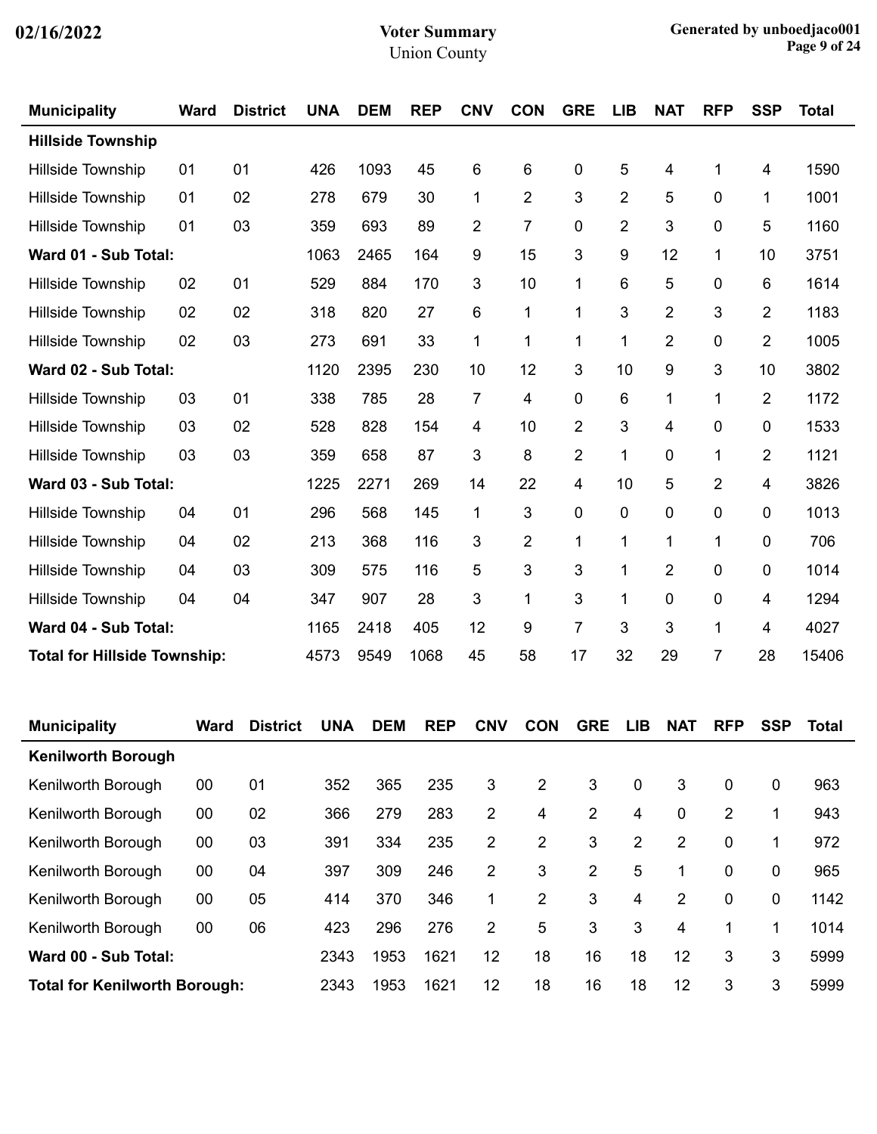| <b>Municipality</b>      | <b>Ward</b>                         | <b>District</b> | <b>UNA</b> | <b>DEM</b> | <b>REP</b> | <b>CNV</b>     | <b>CON</b>     | <b>GRE</b>     | <b>LIB</b>     | <b>NAT</b>              | <b>RFP</b> | <b>SSP</b>     | <b>Total</b> |
|--------------------------|-------------------------------------|-----------------|------------|------------|------------|----------------|----------------|----------------|----------------|-------------------------|------------|----------------|--------------|
| <b>Hillside Township</b> |                                     |                 |            |            |            |                |                |                |                |                         |            |                |              |
| <b>Hillside Township</b> | 01                                  | 01              | 426        | 1093       | 45         | 6              | 6              | 0              | 5              | $\overline{\mathbf{4}}$ | 1          | 4              | 1590         |
| <b>Hillside Township</b> | 01                                  | 02              | 278        | 679        | 30         | 1              | $\overline{2}$ | 3              | $\overline{2}$ | 5                       | 0          | 1              | 1001         |
| <b>Hillside Township</b> | 01                                  | 03              | 359        | 693        | 89         | $\overline{2}$ | $\overline{7}$ | 0              | $\overline{2}$ | 3                       | 0          | 5              | 1160         |
| Ward 01 - Sub Total:     |                                     |                 | 1063       | 2465       | 164        | 9              | 15             | 3              | 9              | 12                      | 1          | 10             | 3751         |
| <b>Hillside Township</b> | 02                                  | 01              | 529        | 884        | 170        | 3              | 10             | 1              | 6              | 5                       | 0          | 6              | 1614         |
| Hillside Township        | 02                                  | 02              | 318        | 820        | 27         | 6              | 1              | 1              | 3              | $\overline{2}$          | 3          | $\overline{2}$ | 1183         |
| Hillside Township        | 02                                  | 03              | 273        | 691        | 33         | 1              | $\mathbf{1}$   | 1              | 1              | $\overline{2}$          | 0          | $\overline{2}$ | 1005         |
| Ward 02 - Sub Total:     |                                     |                 | 1120       | 2395       | 230        | 10             | 12             | 3              | 10             | 9                       | 3          | 10             | 3802         |
| Hillside Township        | 03                                  | 01              | 338        | 785        | 28         | $\overline{7}$ | 4              | 0              | 6              | 1                       | 1          | $\overline{2}$ | 1172         |
| Hillside Township        | 03                                  | 02              | 528        | 828        | 154        | 4              | 10             | $\overline{2}$ | 3              | 4                       | 0          | 0              | 1533         |
| <b>Hillside Township</b> | 03                                  | 03              | 359        | 658        | 87         | 3              | 8              | $\overline{2}$ | 1              | 0                       | 1          | $\overline{2}$ | 1121         |
| Ward 03 - Sub Total:     |                                     |                 | 1225       | 2271       | 269        | 14             | 22             | 4              | 10             | 5                       | 2          | 4              | 3826         |
| <b>Hillside Township</b> | 04                                  | 01              | 296        | 568        | 145        | 1              | 3              | 0              | $\mathbf 0$    | 0                       | 0          | 0              | 1013         |
| <b>Hillside Township</b> | 04                                  | 02              | 213        | 368        | 116        | $\mathbf{3}$   | 2              | 1              | 1              | $\mathbf 1$             | 1          | 0              | 706          |
| Hillside Township        | 04                                  | 03              | 309        | 575        | 116        | 5              | 3              | 3              | 1              | $\overline{2}$          | 0          | 0              | 1014         |
| Hillside Township        | 04                                  | 04              | 347        | 907        | 28         | 3              | $\mathbf{1}$   | 3              | 1              | 0                       | 0          | 4              | 1294         |
| Ward 04 - Sub Total:     |                                     |                 |            | 2418       | 405        | 12             | 9              | 7              | 3              | 3                       | 1          | 4              | 4027         |
|                          | <b>Total for Hillside Township:</b> |                 |            | 9549       | 1068       | 45             | 58             | 17             | 32             | 29                      | 7          | 28             | 15406        |

| <b>Municipality</b>                  | Ward | <b>District</b> | <b>UNA</b> | <b>DEM</b> | <b>REP</b> | <b>CNV</b> | <b>CON</b> | <b>GRE</b>     | LIB      | <b>NAT</b>  | <b>RFP</b>     | <b>SSP</b> | Total |
|--------------------------------------|------|-----------------|------------|------------|------------|------------|------------|----------------|----------|-------------|----------------|------------|-------|
| <b>Kenilworth Borough</b>            |      |                 |            |            |            |            |            |                |          |             |                |            |       |
| Kenilworth Borough                   | 00   | 01              | 352        | 365        | 235        | 3          | 2          | 3              | $\Omega$ | 3           | $\mathbf 0$    | 0          | 963   |
| Kenilworth Borough                   | 00   | 02              | 366        | 279        | 283        | 2          | 4          | $\overline{2}$ | 4        | $\mathbf 0$ | $\overline{2}$ |            | 943   |
| Kenilworth Borough                   | 00   | 03              | 391        | 334        | 235        | 2          | 2          | 3              | 2        | 2           | $\Omega$       | 1          | 972   |
| Kenilworth Borough                   | 00   | 04              | 397        | 309        | 246        | 2          | 3          | $\overline{2}$ | 5        | 1           | 0              | 0          | 965   |
| Kenilworth Borough                   | 00   | 05              | 414        | 370        | 346        | 1          | 2          | 3              | 4        | 2           | $\Omega$       | 0          | 1142  |
| Kenilworth Borough                   | 00   | 06              | 423        | 296        | 276        | 2          | 5          | 3              | 3        | 4           | 1              | 1          | 1014  |
| Ward 00 - Sub Total:                 |      |                 | 2343       | 1953       | 1621       | 12         | 18         | 16             | 18       | 12          | 3              | 3          | 5999  |
| <b>Total for Kenilworth Borough:</b> |      |                 | 2343       | 1953       | 1621       | 12         | 18         | 16             | 18       | 12          | 3              | 3          | 5999  |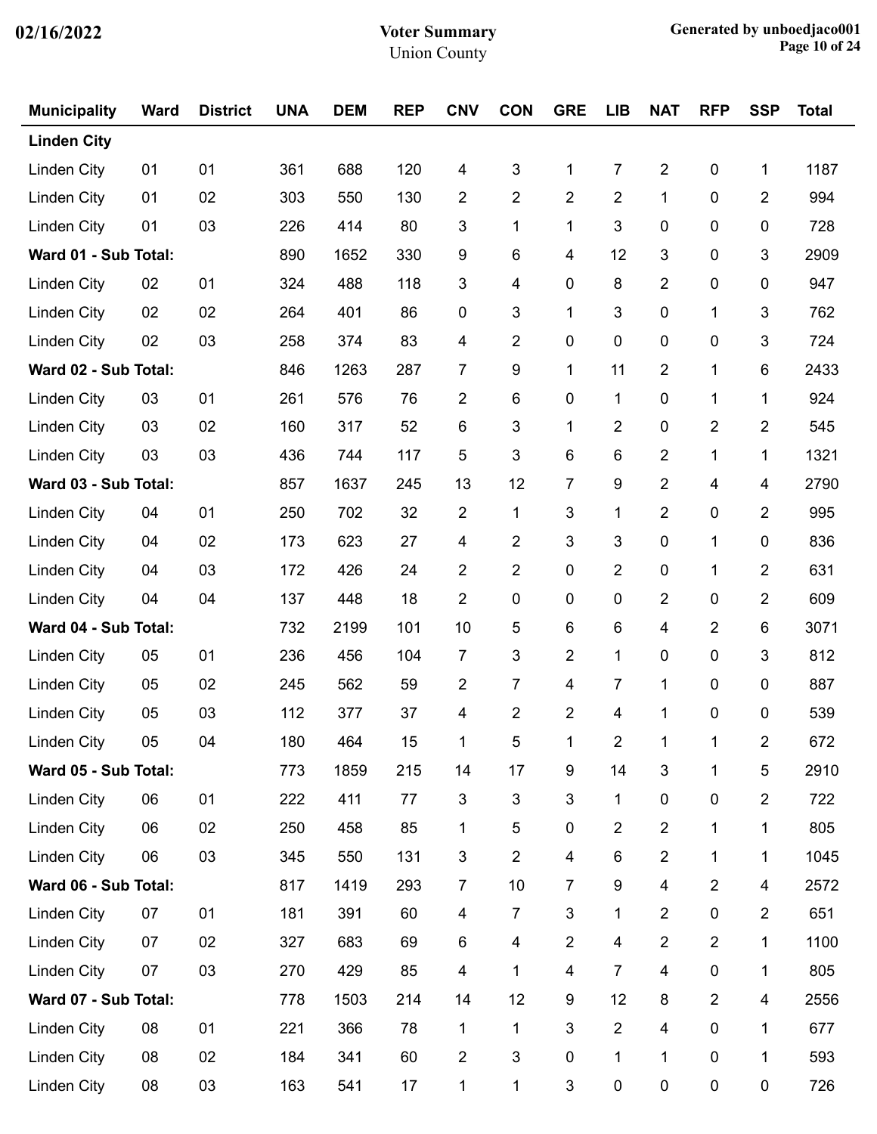| <b>Municipality</b>  | <b>Ward</b> | <b>District</b> | <b>UNA</b> | <b>DEM</b> | <b>REP</b> | <b>CNV</b>              | <b>CON</b>     | <b>GRE</b>              | <b>LIB</b>              | <b>NAT</b>              | <b>RFP</b>     | <b>SSP</b>              | <b>Total</b> |
|----------------------|-------------|-----------------|------------|------------|------------|-------------------------|----------------|-------------------------|-------------------------|-------------------------|----------------|-------------------------|--------------|
| <b>Linden City</b>   |             |                 |            |            |            |                         |                |                         |                         |                         |                |                         |              |
| <b>Linden City</b>   | 01          | 01              | 361        | 688        | 120        | 4                       | 3              | 1                       | 7                       | $\overline{2}$          | $\pmb{0}$      | 1                       | 1187         |
| <b>Linden City</b>   | 01          | 02              | 303        | 550        | 130        | $\overline{2}$          | 2              | $\overline{2}$          | $\overline{2}$          | $\mathbf{1}$            | 0              | 2                       | 994          |
| <b>Linden City</b>   | 01          | 03              | 226        | 414        | 80         | 3                       | 1              | $\mathbf{1}$            | 3                       | 0                       | 0              | 0                       | 728          |
| Ward 01 - Sub Total: |             |                 | 890        | 1652       | 330        | 9                       | 6              | 4                       | 12                      | 3                       | $\pmb{0}$      | 3                       | 2909         |
| Linden City          | 02          | 01              | 324        | 488        | 118        | 3                       | 4              | $\pmb{0}$               | 8                       | $\overline{2}$          | 0              | $\pmb{0}$               | 947          |
| Linden City          | 02          | 02              | 264        | 401        | 86         | 0                       | 3              | 1                       | 3                       | 0                       | 1              | 3                       | 762          |
| <b>Linden City</b>   | 02          | 03              | 258        | 374        | 83         | 4                       | $\overline{2}$ | $\pmb{0}$               | 0                       | 0                       | $\pmb{0}$      | 3                       | 724          |
| Ward 02 - Sub Total: |             |                 | 846        | 1263       | 287        | 7                       | 9              | $\mathbf 1$             | 11                      | $\overline{2}$          | $\mathbf 1$    | 6                       | 2433         |
| <b>Linden City</b>   | 03          | 01              | 261        | 576        | 76         | $\overline{2}$          | 6              | 0                       | $\mathbf{1}$            | 0                       | 1              | 1                       | 924          |
| <b>Linden City</b>   | 03          | 02              | 160        | 317        | 52         | 6                       | 3              | 1                       | 2                       | 0                       | 2              | 2                       | 545          |
| <b>Linden City</b>   | 03          | 03              | 436        | 744        | 117        | 5                       | 3              | $\,6$                   | $\,6\,$                 | $\overline{2}$          | $\mathbf 1$    | 1                       | 1321         |
| Ward 03 - Sub Total: |             |                 | 857        | 1637       | 245        | 13                      | 12             | $\overline{7}$          | 9                       | $\overline{2}$          | 4              | 4                       | 2790         |
| <b>Linden City</b>   | 04          | 01              | 250        | 702        | 32         | $\overline{2}$          | 1              | $\mathbf{3}$            | 1                       | $\overline{2}$          | 0              | 2                       | 995          |
| <b>Linden City</b>   | 04          | 02              | 173        | 623        | 27         | 4                       | 2              | 3                       | 3                       | $\pmb{0}$               | 1              | $\pmb{0}$               | 836          |
| <b>Linden City</b>   | 04          | 03              | 172        | 426        | 24         | $\overline{2}$          | $\overline{2}$ | $\mathbf 0$             | $\overline{2}$          | 0                       | 1              | 2                       | 631          |
| <b>Linden City</b>   | 04          | 04              | 137        | 448        | 18         | $\overline{2}$          | $\pmb{0}$      | 0                       | 0                       | $\overline{2}$          | $\pmb{0}$      | 2                       | 609          |
| Ward 04 - Sub Total: |             |                 | 732        | 2199       | 101        | 10                      | 5              | $\,6$                   | $\,6\,$                 | $\overline{\mathbf{4}}$ | $\overline{2}$ | 6                       | 3071         |
| <b>Linden City</b>   | 05          | 01              | 236        | 456        | 104        | 7                       | 3              | $\overline{2}$          | $\mathbf{1}$            | 0                       | 0              | 3                       | 812          |
| <b>Linden City</b>   | 05          | 02              | 245        | 562        | 59         | $\overline{2}$          | 7              | $\overline{\mathbf{4}}$ | 7                       | 1                       | $\pmb{0}$      | 0                       | 887          |
| <b>Linden City</b>   | 05          | 03              | 112        | 377        | 37         | 4                       | 2              | $\overline{2}$          | 4                       | 1                       | 0              | 0                       | 539          |
| Linden City          | 05          | 04              | 180        | 464        | 15         | $\mathbf{1}$            | 5              | $\mathbf{1}$            | $\overline{2}$          | $\mathbf{1}$            | $\mathbf{1}$   | $\overline{2}$          | 672          |
| Ward 05 - Sub Total: |             |                 | 773        | 1859       | 215        | 14                      | 17             | $\boldsymbol{9}$        | 14                      | $\mathfrak{B}$          | 1              | $\sqrt{5}$              | 2910         |
| <b>Linden City</b>   | 06          | 01              | 222        | 411        | 77         | 3                       | 3              | $\mathfrak{B}$          | 1                       | 0                       | $\pmb{0}$      | $\overline{2}$          | 722          |
| <b>Linden City</b>   | 06          | 02              | 250        | 458        | 85         | 1                       | 5              | $\pmb{0}$               | 2                       | $\overline{2}$          | 1              | 1                       | 805          |
| <b>Linden City</b>   | 06          | 03              | 345        | 550        | 131        | 3                       | $\mathbf{2}$   | $\overline{\mathbf{4}}$ | 6                       | $\overline{2}$          | 1              | 1                       | 1045         |
| Ward 06 - Sub Total: |             |                 | 817        | 1419       | 293        | $\overline{7}$          | 10             | $\overline{7}$          | 9                       | 4                       | $\overline{2}$ | $\overline{\mathbf{4}}$ | 2572         |
| Linden City          | 07          | 01              | 181        | 391        | 60         | 4                       | 7              | $\mathfrak{B}$          | $\mathbf{1}$            | $\overline{2}$          | $\pmb{0}$      | $\overline{2}$          | 651          |
| <b>Linden City</b>   | 07          | 02              | 327        | 683        | 69         | 6                       | 4              | $\overline{2}$          | $\overline{\mathbf{4}}$ | $\overline{2}$          | $\overline{2}$ | 1                       | 1100         |
| <b>Linden City</b>   | 07          | 03              | 270        | 429        | 85         | $\overline{\mathbf{4}}$ | 1              | $\overline{\mathbf{4}}$ | $\overline{7}$          | $\overline{\mathbf{4}}$ | $\pmb{0}$      | 1                       | 805          |
| Ward 07 - Sub Total: |             |                 | 778        | 1503       | 214        | 14                      | 12             | $\boldsymbol{9}$        | 12                      | 8                       | $\overline{2}$ | $\overline{\mathbf{4}}$ | 2556         |
| <b>Linden City</b>   | 08          | 01              | 221        | 366        | 78         | 1                       | 1              | 3                       | $\overline{2}$          | 4                       | $\pmb{0}$      | 1                       | 677          |
| <b>Linden City</b>   | 08          | 02              | 184        | 341        | 60         | $\overline{2}$          | 3              | $\pmb{0}$               | $\mathbf{1}$            | $\mathbf{1}$            | $\pmb{0}$      | 1                       | 593          |
| <b>Linden City</b>   | 08          | 03              | 163        | 541        | 17         | 1                       | 1              | 3                       | 0                       | $\pmb{0}$               | $\pmb{0}$      | 0                       | 726          |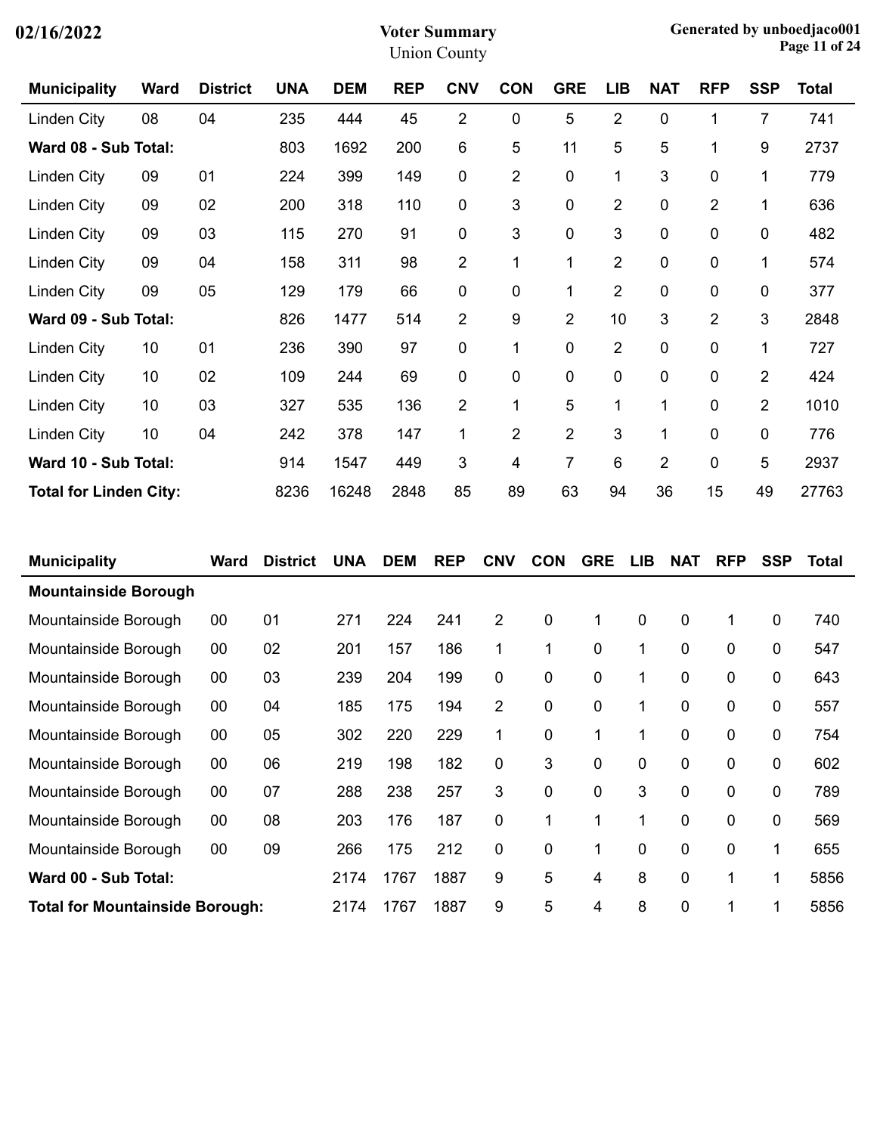| 02/16/2022 |  |
|------------|--|
|------------|--|

| <b>Municipality</b>           | <b>Ward</b> | <b>District</b> | <b>UNA</b> | <b>DEM</b> | <b>REP</b> | <b>CNV</b>     | <b>CON</b>     | <b>GRE</b>     | <b>LIB</b>     | <b>NAT</b>     | <b>RFP</b>     | <b>SSP</b>     | Total |
|-------------------------------|-------------|-----------------|------------|------------|------------|----------------|----------------|----------------|----------------|----------------|----------------|----------------|-------|
| Linden City                   | 08          | 04              | 235        | 444        | 45         | $\overline{2}$ | 0              | 5              | $\overline{2}$ | $\pmb{0}$      | 1              | $\overline{7}$ | 741   |
| Ward 08 - Sub Total:          |             |                 | 803        | 1692       | 200        | 6              | 5              | 11             | 5              | 5              | 1              | 9              | 2737  |
| Linden City                   | 09          | 01              | 224        | 399        | 149        | $\mathbf 0$    | $\overline{c}$ | $\pmb{0}$      | 1              | 3              | $\mathbf 0$    | 1              | 779   |
| Linden City                   | 09          | 02              | 200        | 318        | 110        | 0              | 3              | 0              | $\overline{2}$ | $\mathbf 0$    | $\overline{2}$ | 1              | 636   |
| Linden City                   | 09          | 03              | 115        | 270        | 91         | $\mathbf 0$    | 3              | 0              | 3              | $\pmb{0}$      | $\pmb{0}$      | 0              | 482   |
| Linden City                   | 09          | 04              | 158        | 311        | 98         | $\overline{2}$ | 1              | 1              | $\overline{2}$ | $\mathbf 0$    | $\mathbf 0$    | $\mathbf{1}$   | 574   |
| Linden City                   | 09          | 05              | 129        | 179        | 66         | $\mathbf 0$    | 0              | 1              | $\overline{2}$ | $\mathbf 0$    | 0              | 0              | 377   |
| Ward 09 - Sub Total:          |             |                 | 826        | 1477       | 514        | $\overline{2}$ | 9              | $\overline{2}$ | 10             | 3              | 2              | 3              | 2848  |
| Linden City                   | 10          | 01              | 236        | 390        | 97         | $\mathbf 0$    | 1              | 0              | $\overline{2}$ | $\pmb{0}$      | $\mathbf 0$    | 1              | 727   |
| Linden City                   | 10          | 02              | 109        | 244        | 69         | $\mathbf 0$    | 0              | 0              | 0              | $\mathbf 0$    | $\mathbf 0$    | $\overline{2}$ | 424   |
| Linden City                   | 10          | 03              | 327        | 535        | 136        | $\overline{2}$ | 1              | 5              | 1              | 1              | $\mathbf 0$    | $\overline{2}$ | 1010  |
| Linden City                   | 10          | 04              | 242        | 378        | 147        | 1              | $\overline{2}$ | $\overline{2}$ | 3              | 1              | $\mathbf 0$    | 0              | 776   |
| Ward 10 - Sub Total:          |             |                 | 914        | 1547       | 449        | 3              | 4              | $\overline{7}$ | 6              | $\overline{2}$ | $\mathbf 0$    | 5              | 2937  |
| <b>Total for Linden City:</b> |             |                 | 8236       | 16248      | 2848       | 85             | 89             | 63             | 94             | 36             | 15             | 49             | 27763 |

| <b>Municipality</b>                    | Ward | <b>District</b> | <b>UNA</b> | <b>DEM</b> | <b>REP</b> | <b>CNV</b>     | <b>CON</b> | <b>GRE</b> | <b>LIB</b> | <b>NAT</b>  | <b>RFP</b> | <b>SSP</b> | Total |
|----------------------------------------|------|-----------------|------------|------------|------------|----------------|------------|------------|------------|-------------|------------|------------|-------|
| <b>Mountainside Borough</b>            |      |                 |            |            |            |                |            |            |            |             |            |            |       |
| Mountainside Borough                   | 00   | 01              | 271        | 224        | 241        | 2              | 0          | 1          | 0          | $\mathbf 0$ | 1          | 0          | 740   |
| Mountainside Borough                   | 00   | 02              | 201        | 157        | 186        | 1              | 1          | 0          | 1          | 0           | 0          | 0          | 547   |
| Mountainside Borough                   | 00   | 03              | 239        | 204        | 199        | 0              | 0          | 0          | 1          | 0           | 0          | 0          | 643   |
| Mountainside Borough                   | 00   | 04              | 185        | 175        | 194        | $\overline{2}$ | 0          | 0          | 1          | 0           | 0          | 0          | 557   |
| Mountainside Borough                   | 00   | 05              | 302        | 220        | 229        | 1              | 0          | 1          | 1          | 0           | 0          | 0          | 754   |
| Mountainside Borough                   | 00   | 06              | 219        | 198        | 182        | 0              | 3          | 0          | 0          | 0           | 0          | 0          | 602   |
| Mountainside Borough                   | 00   | 07              | 288        | 238        | 257        | 3              | 0          | 0          | 3          | $\mathbf 0$ | 0          | 0          | 789   |
| Mountainside Borough                   | 00   | 08              | 203        | 176        | 187        | 0              | 1          | 1          | 1          | 0           | 0          | 0          | 569   |
| Mountainside Borough                   | 00   | 09              | 266        | 175        | 212        | 0              | 0          | 1          | 0          | 0           | 0          | 1          | 655   |
| Ward 00 - Sub Total:                   |      |                 | 2174       | 1767       | 1887       | 9              | 5          | 4          | 8          | 0           | 1          | 1          | 5856  |
| <b>Total for Mountainside Borough:</b> |      |                 | 2174       | 1767       | 1887       | 9              | 5          | 4          | 8          | 0           | 1          | 1          | 5856  |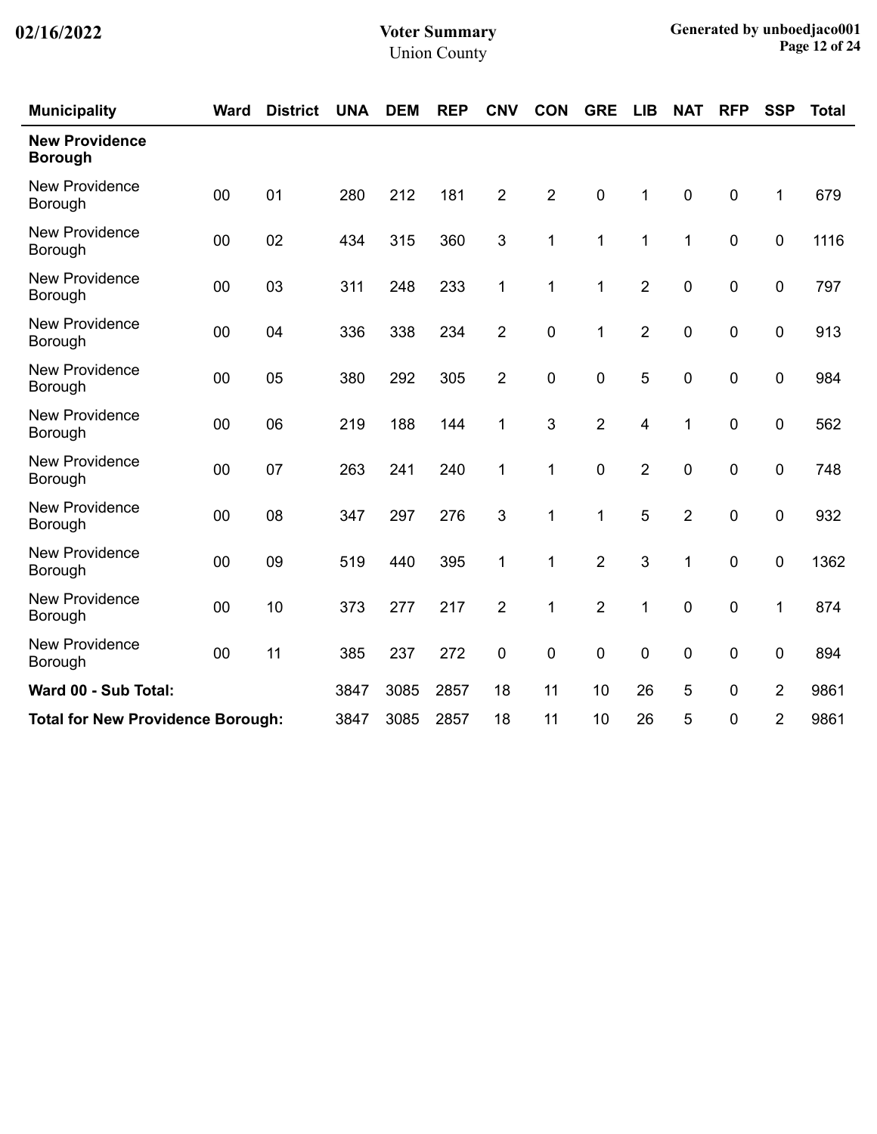| <b>Municipality</b>                      | <b>Ward</b> | <b>District</b> | <b>UNA</b> | <b>DEM</b> | <b>REP</b> | <b>CNV</b>     | <b>CON</b>     | <b>GRE</b>     | <b>LIB</b>     | <b>NAT</b>       | <b>RFP</b>       | <b>SSP</b>     | <b>Total</b> |
|------------------------------------------|-------------|-----------------|------------|------------|------------|----------------|----------------|----------------|----------------|------------------|------------------|----------------|--------------|
| <b>New Providence</b><br><b>Borough</b>  |             |                 |            |            |            |                |                |                |                |                  |                  |                |              |
| <b>New Providence</b><br>Borough         | 00          | 01              | 280        | 212        | 181        | $\overline{2}$ | $\overline{2}$ | $\mathbf 0$    | 1              | $\pmb{0}$        | $\mathbf 0$      | 1              | 679          |
| <b>New Providence</b><br>Borough         | 00          | 02              | 434        | 315        | 360        | 3              | 1              | 1              | 1              | 1                | $\mathbf 0$      | 0              | 1116         |
| <b>New Providence</b><br>Borough         | 00          | 03              | 311        | 248        | 233        | 1              | 1              | 1              | $\overline{2}$ | $\mathbf 0$      | $\mathbf 0$      | 0              | 797          |
| <b>New Providence</b><br>Borough         | 00          | 04              | 336        | 338        | 234        | $\overline{2}$ | 0              | 1              | $\overline{2}$ | $\mathbf 0$      | $\mathbf 0$      | 0              | 913          |
| <b>New Providence</b><br>Borough         | 00          | 05              | 380        | 292        | 305        | $\overline{2}$ | 0              | $\mathbf 0$    | 5              | $\mathbf 0$      | 0                | 0              | 984          |
| <b>New Providence</b><br>Borough         | 00          | 06              | 219        | 188        | 144        | 1              | 3              | $\overline{2}$ | 4              | 1                | $\boldsymbol{0}$ | 0              | 562          |
| <b>New Providence</b><br>Borough         | 00          | 07              | 263        | 241        | 240        | 1              | $\mathbf{1}$   | $\mathbf 0$    | $\overline{2}$ | $\mathbf 0$      | $\mathbf 0$      | $\mathbf 0$    | 748          |
| <b>New Providence</b><br>Borough         | 00          | 08              | 347        | 297        | 276        | 3              | 1              | 1              | 5              | $\overline{2}$   | 0                | 0              | 932          |
| <b>New Providence</b><br>Borough         | 00          | 09              | 519        | 440        | 395        | 1              | 1              | $\overline{2}$ | 3              | 1                | 0                | 0              | 1362         |
| <b>New Providence</b><br>Borough         | 00          | 10              | 373        | 277        | 217        | $\overline{2}$ | 1              | $\overline{2}$ | 1              | $\boldsymbol{0}$ | $\boldsymbol{0}$ | 1              | 874          |
| <b>New Providence</b><br>Borough         | 00          | 11              | 385        | 237        | 272        | 0              | 0              | $\mathbf 0$    | $\mathbf 0$    | $\pmb{0}$        | $\boldsymbol{0}$ | 0              | 894          |
| Ward 00 - Sub Total:                     |             |                 | 3847       | 3085       | 2857       | 18             | 11             | 10             | 26             | 5                | $\mathbf 0$      | $\overline{2}$ | 9861         |
| <b>Total for New Providence Borough:</b> |             |                 | 3847       | 3085       | 2857       | 18             | 11             | 10             | 26             | 5                | 0                | $\overline{2}$ | 9861         |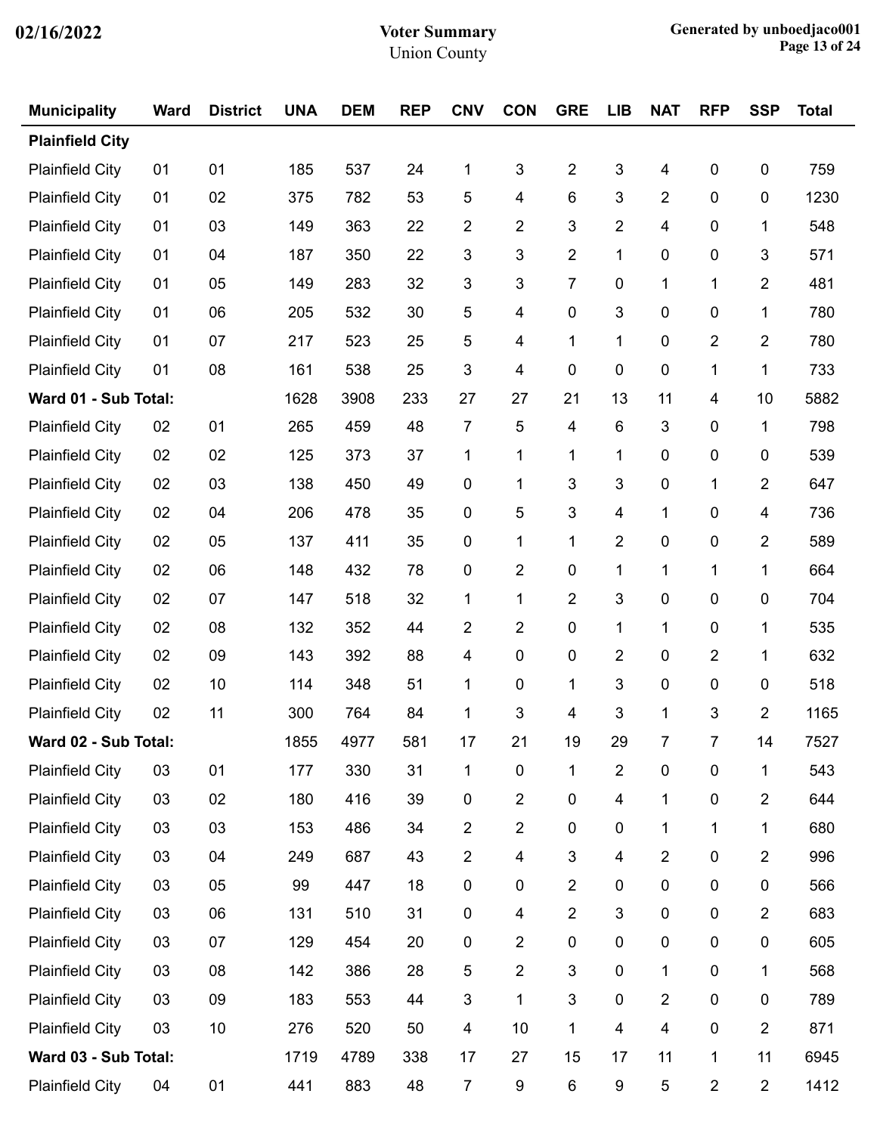| <b>Municipality</b>    | <b>Ward</b> | <b>District</b> | <b>UNA</b> | <b>DEM</b> | <b>REP</b> | <b>CNV</b>     | <b>CON</b>              | <b>GRE</b>              | <b>LIB</b>              | <b>NAT</b>              | <b>RFP</b>     | <b>SSP</b>     | <b>Total</b> |
|------------------------|-------------|-----------------|------------|------------|------------|----------------|-------------------------|-------------------------|-------------------------|-------------------------|----------------|----------------|--------------|
| <b>Plainfield City</b> |             |                 |            |            |            |                |                         |                         |                         |                         |                |                |              |
| <b>Plainfield City</b> | 01          | 01              | 185        | 537        | 24         | 1              | 3                       | $\boldsymbol{2}$        | 3                       | 4                       | $\pmb{0}$      | $\pmb{0}$      | 759          |
| <b>Plainfield City</b> | 01          | 02              | 375        | 782        | 53         | 5              | 4                       | 6                       | 3                       | $\overline{2}$          | 0              | $\pmb{0}$      | 1230         |
| <b>Plainfield City</b> | 01          | 03              | 149        | 363        | 22         | 2              | $\overline{2}$          | 3                       | $\overline{2}$          | $\overline{\mathbf{4}}$ | 0              | 1              | 548          |
| <b>Plainfield City</b> | 01          | 04              | 187        | 350        | 22         | 3              | 3                       | $\overline{2}$          | 1                       | 0                       | 0              | 3              | 571          |
| <b>Plainfield City</b> | 01          | 05              | 149        | 283        | 32         | 3              | 3                       | 7                       | 0                       | 1                       | 1              | $\overline{2}$ | 481          |
| <b>Plainfield City</b> | 01          | 06              | 205        | 532        | 30         | 5              | 4                       | 0                       | 3                       | 0                       | 0              | 1              | 780          |
| <b>Plainfield City</b> | 01          | 07              | 217        | 523        | 25         | 5              | $\overline{\mathbf{4}}$ | 1                       | 1                       | 0                       | 2              | $\overline{2}$ | 780          |
| <b>Plainfield City</b> | 01          | 08              | 161        | 538        | 25         | 3              | 4                       | 0                       | 0                       | 0                       | 1              | 1              | 733          |
| Ward 01 - Sub Total:   |             |                 | 1628       | 3908       | 233        | 27             | 27                      | 21                      | 13                      | 11                      | 4              | 10             | 5882         |
| <b>Plainfield City</b> | 02          | 01              | 265        | 459        | 48         | 7              | 5                       | $\overline{\mathbf{4}}$ | $\,6$                   | 3                       | 0              | 1              | 798          |
| <b>Plainfield City</b> | 02          | 02              | 125        | 373        | 37         | 1              | 1                       | 1                       | 1                       | 0                       | 0              | $\pmb{0}$      | 539          |
| <b>Plainfield City</b> | 02          | 03              | 138        | 450        | 49         | $\mathbf 0$    | 1                       | 3                       | 3                       | 0                       | 1              | $\overline{2}$ | 647          |
| <b>Plainfield City</b> | 02          | 04              | 206        | 478        | 35         | 0              | 5                       | 3                       | 4                       | 1                       | 0              | 4              | 736          |
| <b>Plainfield City</b> | 02          | 05              | 137        | 411        | 35         | 0              | 1                       | 1                       | $\overline{c}$          | 0                       | 0              | $\overline{2}$ | 589          |
| <b>Plainfield City</b> | 02          | 06              | 148        | 432        | 78         | $\pmb{0}$      | $\overline{2}$          | 0                       | 1                       | 1                       | 1              | 1              | 664          |
| <b>Plainfield City</b> | 02          | 07              | 147        | 518        | 32         | 1              | 1                       | $\overline{2}$          | 3                       | 0                       | 0              | 0              | 704          |
| <b>Plainfield City</b> | 02          | 08              | 132        | 352        | 44         | 2              | $\overline{2}$          | 0                       | 1                       | 1                       | 0              | 1              | 535          |
| <b>Plainfield City</b> | 02          | 09              | 143        | 392        | 88         | 4              | 0                       | 0                       | $\overline{c}$          | 0                       | $\overline{2}$ | 1              | 632          |
| <b>Plainfield City</b> | 02          | 10              | 114        | 348        | 51         | 1              | $\pmb{0}$               | 1                       | 3                       | 0                       | 0              | 0              | 518          |
| <b>Plainfield City</b> | 02          | 11              | 300        | 764        | 84         | 1              | 3                       | 4                       | 3                       | 1                       | 3              | $\overline{2}$ | 1165         |
| Ward 02 - Sub Total:   |             |                 | 1855       | 4977       | 581        | 17             | 21                      | 19                      | 29                      | $\overline{7}$          | 7 <sup>1</sup> | 14             | 7527         |
| <b>Plainfield City</b> | 03          | 01              | 177        | 330        | 31         | 1              | $\pmb{0}$               | 1                       | $\overline{2}$          | $\pmb{0}$               | $\pmb{0}$      | 1              | 543          |
| <b>Plainfield City</b> | 03          | 02              | 180        | 416        | 39         | $\pmb{0}$      | $\overline{2}$          | $\pmb{0}$               | 4                       | $\mathbf{1}$            | 0              | $\overline{2}$ | 644          |
| <b>Plainfield City</b> | 03          | 03              | 153        | 486        | 34         | $\overline{2}$ | $\overline{2}$          | $\pmb{0}$               | $\pmb{0}$               | 1                       | 1              | 1              | 680          |
| <b>Plainfield City</b> | 03          | 04              | 249        | 687        | 43         | $\overline{c}$ | 4                       | 3                       | $\overline{\mathbf{4}}$ | $\overline{2}$          | 0              | $\overline{2}$ | 996          |
| <b>Plainfield City</b> | 03          | 05              | 99         | 447        | 18         | $\pmb{0}$      | 0                       | $\overline{2}$          | $\pmb{0}$               | 0                       | 0              | $\pmb{0}$      | 566          |
| <b>Plainfield City</b> | 03          | 06              | 131        | 510        | 31         | $\pmb{0}$      | 4                       | $\overline{2}$          | 3                       | $\pmb{0}$               | 0              | $\overline{c}$ | 683          |
| <b>Plainfield City</b> | 03          | 07              | 129        | 454        | 20         | 0              | $\overline{2}$          | $\pmb{0}$               | $\pmb{0}$               | $\pmb{0}$               | $\pmb{0}$      | $\pmb{0}$      | 605          |
| <b>Plainfield City</b> | 03          | 08              | 142        | 386        | 28         | 5              | $\overline{2}$          | 3                       | $\pmb{0}$               | $\mathbf{1}$            | $\pmb{0}$      | 1              | 568          |
| <b>Plainfield City</b> | 03          | 09              | 183        | 553        | 44         | $\mathfrak{S}$ | 1                       | 3                       | $\pmb{0}$               | $\overline{2}$          | $\pmb{0}$      | $\pmb{0}$      | 789          |
| <b>Plainfield City</b> | 03          | $10$            | 276        | 520        | 50         | 4              | 10                      | 1                       | $\overline{\mathbf{4}}$ | $\overline{\mathbf{4}}$ | $\pmb{0}$      | $\overline{2}$ | 871          |
| Ward 03 - Sub Total:   |             |                 | 1719       | 4789       | 338        | 17             | 27                      | 15                      | 17                      | 11                      | $\mathbf{1}$   | 11             | 6945         |
| <b>Plainfield City</b> | 04          | 01              | 441        | 883        | 48         | $\overline{7}$ | 9                       | $\,6$                   | $\boldsymbol{9}$        | 5                       | $\overline{c}$ | $\overline{c}$ | 1412         |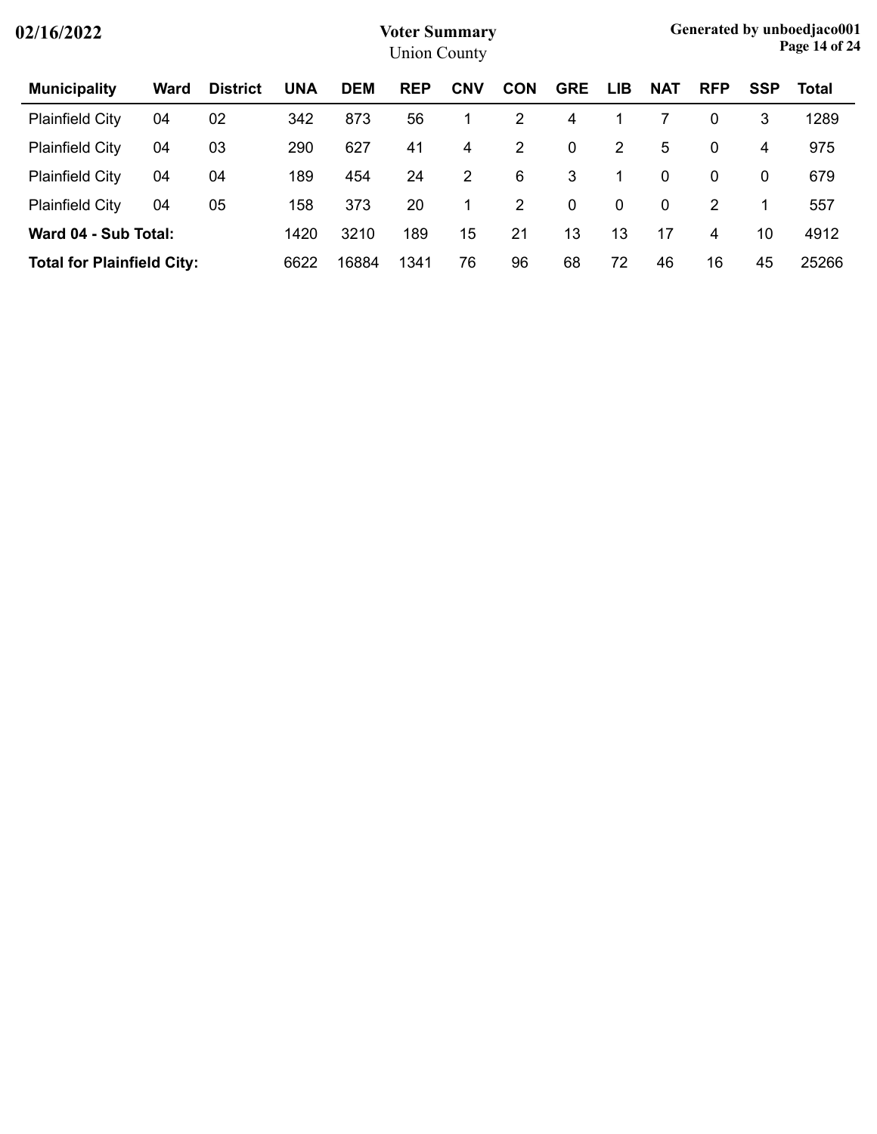| 02/16/2022                        |             |                 |            |            | <b>Voter Summary</b><br><b>Union County</b> |            |                |            |             |            |             |             | Generated by unboedjaco001<br>Page 14 of 24 |
|-----------------------------------|-------------|-----------------|------------|------------|---------------------------------------------|------------|----------------|------------|-------------|------------|-------------|-------------|---------------------------------------------|
| <b>Municipality</b>               | <b>Ward</b> | <b>District</b> | <b>UNA</b> | <b>DEM</b> | <b>REP</b>                                  | <b>CNV</b> | <b>CON</b>     | <b>GRE</b> | <b>LIB</b>  | <b>NAT</b> | <b>RFP</b>  | <b>SSP</b>  | Total                                       |
| <b>Plainfield City</b>            | 04          | 02              | 342        | 873        | 56                                          |            | 2              | 4          |             |            | $\mathbf 0$ | 3           | 1289                                        |
| <b>Plainfield City</b>            | 04          | 03              | 290        | 627        | 41                                          | 4          | 2              | 0          | 2           | 5          | $\mathbf 0$ | 4           | 975                                         |
| <b>Plainfield City</b>            | 04          | 04              | 189        | 454        | 24                                          | 2          | 6              | 3          |             | 0          | $\mathbf 0$ | $\mathbf 0$ | 679                                         |
| <b>Plainfield City</b>            | 04          | 05              | 158        | 373        | 20                                          |            | $\overline{2}$ | 0          | $\mathbf 0$ | 0          | 2           | 1           | 557                                         |
| Ward 04 - Sub Total:              |             |                 | 1420       | 3210       | 189                                         | 15         | 21             | 13         | 13          | 17         | 4           | 10          | 4912                                        |
| <b>Total for Plainfield City:</b> |             |                 | 6622       | 16884      | 1341                                        | 76         | 96             | 68         | 72          | 46         | 16          | 45          | 25266                                       |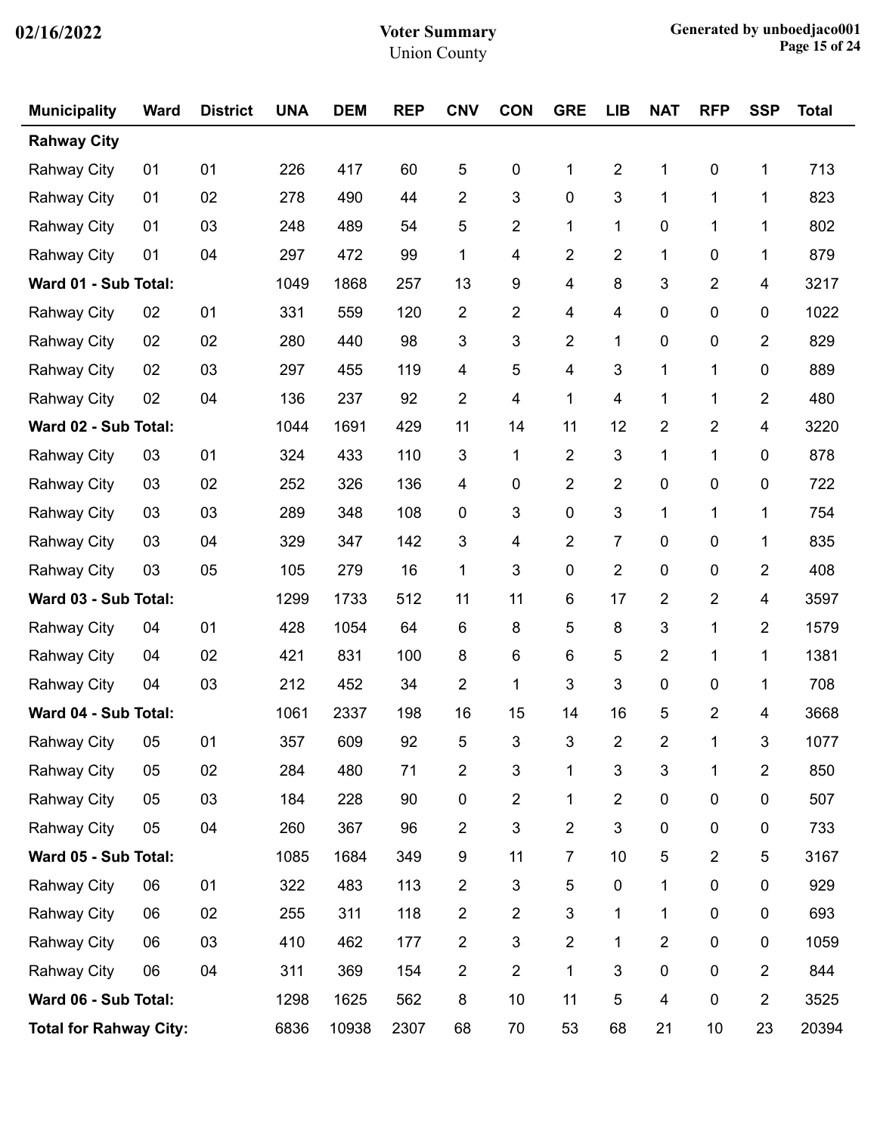| <b>Municipality</b>           | <b>Ward</b> | <b>District</b> | <b>UNA</b> | <b>DEM</b> | <b>REP</b> | <b>CNV</b>      | <b>CON</b>              | <b>GRE</b>              | <b>LIB</b>              | <b>NAT</b>     | <b>RFP</b>     | <b>SSP</b>     | <b>Total</b> |
|-------------------------------|-------------|-----------------|------------|------------|------------|-----------------|-------------------------|-------------------------|-------------------------|----------------|----------------|----------------|--------------|
| <b>Rahway City</b>            |             |                 |            |            |            |                 |                         |                         |                         |                |                |                |              |
| <b>Rahway City</b>            | 01          | 01              | 226        | 417        | 60         | 5               | $\pmb{0}$               | 1                       | $\overline{\mathbf{c}}$ | 1              | $\pmb{0}$      | 1              | 713          |
| <b>Rahway City</b>            | 01          | 02              | 278        | 490        | 44         | $\overline{2}$  | 3                       | $\pmb{0}$               | 3                       | $\mathbf{1}$   | 1              | 1              | 823          |
| <b>Rahway City</b>            | 01          | 03              | 248        | 489        | 54         | 5               | $\overline{2}$          | 1                       | 1                       | 0              | 1              | 1              | 802          |
| <b>Rahway City</b>            | 01          | 04              | 297        | 472        | 99         | 1               | 4                       | $\overline{2}$          | $\overline{2}$          | 1              | 0              | 1              | 879          |
| Ward 01 - Sub Total:          |             |                 | 1049       | 1868       | 257        | 13              | 9                       | 4                       | 8                       | 3              | 2              | 4              | 3217         |
| <b>Rahway City</b>            | 02          | 01              | 331        | 559        | 120        | $\overline{2}$  | $\overline{\mathbf{c}}$ | 4                       | 4                       | 0              | 0              | 0              | 1022         |
| <b>Rahway City</b>            | 02          | 02              | 280        | 440        | 98         | 3               | 3                       | $\overline{2}$          | 1                       | 0              | 0              | 2              | 829          |
| <b>Rahway City</b>            | 02          | 03              | 297        | 455        | 119        | 4               | 5                       | $\overline{\mathbf{4}}$ | 3                       | $\mathbf{1}$   | 1              | 0              | 889          |
| <b>Rahway City</b>            | 02          | 04              | 136        | 237        | 92         | 2               | 4                       | 1                       | 4                       | 1              | 1              | 2              | 480          |
| Ward 02 - Sub Total:          |             |                 | 1044       | 1691       | 429        | 11              | 14                      | 11                      | 12                      | $\overline{2}$ | 2              | 4              | 3220         |
| <b>Rahway City</b>            | 03          | 01              | 324        | 433        | 110        | 3               | 1                       | $\overline{2}$          | 3                       | $\mathbf{1}$   | 1              | 0              | 878          |
| <b>Rahway City</b>            | 03          | 02              | 252        | 326        | 136        | 4               | 0                       | $\overline{2}$          | $\overline{2}$          | 0              | 0              | 0              | 722          |
| <b>Rahway City</b>            | 03          | 03              | 289        | 348        | 108        | 0               | 3                       | 0                       | 3                       | 1              | 1              | 1              | 754          |
| <b>Rahway City</b>            | 03          | 04              | 329        | 347        | 142        | 3               | 4                       | $\overline{2}$          | $\overline{7}$          | 0              | 0              | 1              | 835          |
| <b>Rahway City</b>            | 03          | 05              | 105        | 279        | 16         | 1               | 3                       | 0                       | $\overline{2}$          | 0              | 0              | 2              | 408          |
| Ward 03 - Sub Total:          |             |                 | 1299       | 1733       | 512        | 11              | 11                      | 6                       | 17                      | 2              | 2              | 4              | 3597         |
| <b>Rahway City</b>            | 04          | 01              | 428        | 1054       | 64         | 6               | 8                       | 5                       | 8                       | 3              | 1              | 2              | 1579         |
| <b>Rahway City</b>            | 04          | 02              | 421        | 831        | 100        | 8               | 6                       | 6                       | 5                       | $\overline{2}$ | 1              | 1              | 1381         |
| <b>Rahway City</b>            | 04          | 03              | 212        | 452        | 34         | $\overline{c}$  | 1                       | $\mathfrak{B}$          | 3                       | 0              | 0              | 1              | 708          |
| Ward 04 - Sub Total:          |             |                 | 1061       | 2337       | 198        | 16              | 15                      | 14                      | 16                      | 5              | 2              | 4              | 3668         |
| Rahway City                   | 05          | 01              | 357        | 609        | 92         | $5\phantom{.0}$ | $\mathbf{3}$            | 3                       | $\overline{2}$          | $\overline{2}$ | $\mathbf{1}$   | $\mathbf{3}$   | 1077         |
| <b>Rahway City</b>            | 05          | 02              | 284        | 480        | 71         | $\overline{2}$  | $\mathfrak{S}$          | 1                       | 3                       | 3              | 1              | $\overline{c}$ | 850          |
| <b>Rahway City</b>            | 05          | 03              | 184        | 228        | 90         | $\pmb{0}$       | $\overline{2}$          | 1                       | $\overline{2}$          | $\pmb{0}$      | $\pmb{0}$      | $\pmb{0}$      | 507          |
| <b>Rahway City</b>            | 05          | 04              | 260        | 367        | 96         | $\overline{2}$  | 3                       | $\overline{2}$          | 3                       | 0              | $\pmb{0}$      | 0              | 733          |
| Ward 05 - Sub Total:          |             |                 | 1085       | 1684       | 349        | 9               | 11                      | $\overline{7}$          | 10                      | 5              | $\overline{2}$ | 5              | 3167         |
| <b>Rahway City</b>            | 06          | 01              | 322        | 483        | 113        | $\overline{2}$  | 3                       | 5                       | 0                       | $\mathbf{1}$   | $\pmb{0}$      | $\pmb{0}$      | 929          |
| Rahway City                   | 06          | 02              | 255        | 311        | 118        | $\overline{2}$  | $\overline{2}$          | $\mathfrak{B}$          | 1                       | 1              | $\pmb{0}$      | 0              | 693          |
| <b>Rahway City</b>            | 06          | 03              | 410        | 462        | 177        | $\overline{2}$  | $\mathfrak{S}$          | $\overline{2}$          | 1                       | $\overline{2}$ | $\pmb{0}$      | $\pmb{0}$      | 1059         |
| <b>Rahway City</b>            | 06          | 04              | 311        | 369        | 154        | $\overline{2}$  | $\overline{c}$          | 1                       | 3                       | 0              | $\pmb{0}$      | $\overline{2}$ | 844          |
| Ward 06 - Sub Total:          |             |                 | 1298       | 1625       | 562        | 8               | 10                      | 11                      | 5                       | 4              | $\pmb{0}$      | 2              | 3525         |
| <b>Total for Rahway City:</b> |             |                 | 6836       | 10938      | 2307       | 68              | 70                      | 53                      | 68                      | 21             | $10$           | 23             | 20394        |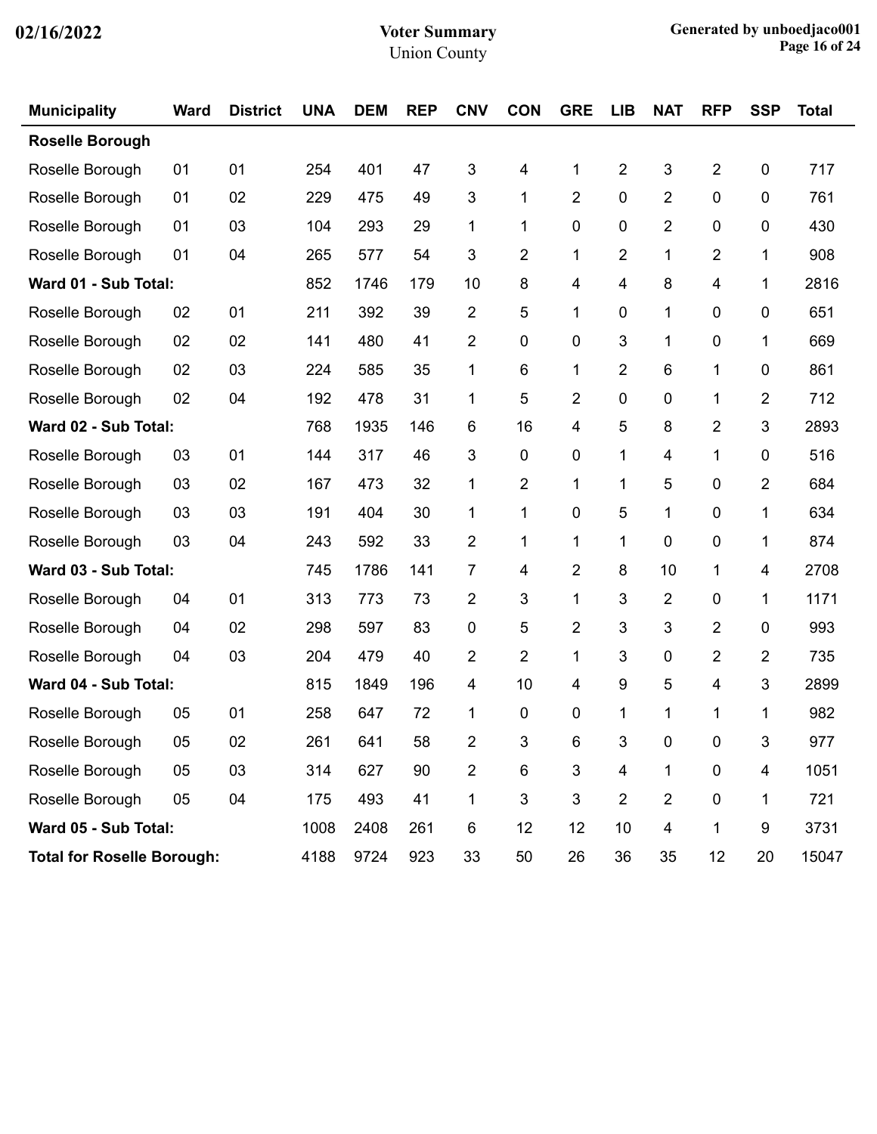| <b>Municipality</b>               | <b>Ward</b> | <b>District</b> | <b>UNA</b> | <b>DEM</b> | <b>REP</b> | <b>CNV</b>     | <b>CON</b>     | <b>GRE</b>     | <b>LIB</b>     | <b>NAT</b>     | <b>RFP</b>  | <b>SSP</b>       | <b>Total</b> |
|-----------------------------------|-------------|-----------------|------------|------------|------------|----------------|----------------|----------------|----------------|----------------|-------------|------------------|--------------|
| <b>Roselle Borough</b>            |             |                 |            |            |            |                |                |                |                |                |             |                  |              |
| Roselle Borough                   | 01          | 01              | 254        | 401        | 47         | 3              | 4              | 1              | $\overline{2}$ | 3              | 2           | $\pmb{0}$        | 717          |
| Roselle Borough                   | 01          | 02              | 229        | 475        | 49         | 3              | 1              | $\overline{2}$ | 0              | $\overline{2}$ | 0           | 0                | 761          |
| Roselle Borough                   | 01          | 03              | 104        | 293        | 29         | 1              | 1              | 0              | 0              | $\overline{2}$ | 0           | 0                | 430          |
| Roselle Borough                   | 01          | 04              | 265        | 577        | 54         | 3              | $\overline{2}$ | 1              | $\overline{2}$ | 1              | 2           | 1                | 908          |
| Ward 01 - Sub Total:              |             |                 | 852        | 1746       | 179        | 10             | 8              | 4              | 4              | 8              | 4           | 1                | 2816         |
| Roselle Borough                   | 02          | 01              | 211        | 392        | 39         | 2              | 5              | 1              | 0              | 1              | 0           | 0                | 651          |
| Roselle Borough                   | 02          | 02              | 141        | 480        | 41         | 2              | 0              | $\mathbf 0$    | 3              | 1              | 0           | 1                | 669          |
| Roselle Borough                   | 02          | 03              | 224        | 585        | 35         | 1              | 6              | 1              | $\overline{2}$ | 6              | 1           | 0                | 861          |
| Roselle Borough                   | 02          | 04              | 192        | 478        | 31         | 1              | 5              | $\overline{2}$ | 0              | 0              | 1           | $\overline{2}$   | 712          |
| Ward 02 - Sub Total:              |             |                 | 768        | 1935       | 146        | 6              | 16             | 4              | 5              | 8              | 2           | 3                | 2893         |
| Roselle Borough                   | 03          | 01              | 144        | 317        | 46         | 3              | 0              | $\pmb{0}$      | 1              | 4              | 1           | 0                | 516          |
| Roselle Borough                   | 03          | 02              | 167        | 473        | 32         | 1              | $\overline{2}$ | 1              | 1              | 5              | 0           | $\overline{2}$   | 684          |
| Roselle Borough                   | 03          | 03              | 191        | 404        | 30         | 1              | 1              | $\mathbf 0$    | 5              | 1              | 0           | 1                | 634          |
| Roselle Borough                   | 03          | 04              | 243        | 592        | 33         | $\overline{c}$ | 1              | 1              | 1              | 0              | 0           | 1                | 874          |
| Ward 03 - Sub Total:              |             |                 | 745        | 1786       | 141        | $\overline{7}$ | 4              | $\overline{2}$ | 8              | 10             | 1           | 4                | 2708         |
| Roselle Borough                   | 04          | 01              | 313        | 773        | 73         | $\overline{c}$ | 3              | 1              | 3              | $\overline{2}$ | 0           | 1                | 1171         |
| Roselle Borough                   | 04          | 02              | 298        | 597        | 83         | $\pmb{0}$      | 5              | $\overline{2}$ | 3              | 3              | 2           | 0                | 993          |
| Roselle Borough                   | 04          | 03              | 204        | 479        | 40         | 2              | 2              | 1              | 3              | 0              | 2           | $\overline{2}$   | 735          |
| Ward 04 - Sub Total:              |             |                 | 815        | 1849       | 196        | 4              | 10             | 4              | 9              | 5              | 4           | 3                | 2899         |
| Roselle Borough                   | 05          | 01              | 258        | 647        | 72         | 1              | 0              | 0              | 1              | 1              | 1           | 1                | 982          |
| Roselle Borough                   | 05          | 02              | 261        | 641        | 58         | $\overline{2}$ | 3              | 6              | 3              | $\pmb{0}$      | $\mathbf 0$ | $\sqrt{3}$       | 977          |
| Roselle Borough                   | 05          | 03              | 314        | 627        | 90         | $\overline{c}$ | $\,6$          | 3              | 4              | $\mathbf{1}$   | $\pmb{0}$   | 4                | 1051         |
| Roselle Borough                   | 05          | 04              | 175        | 493        | 41         | 1              | $\mathbf{3}$   | $\mathfrak{S}$ | $\overline{2}$ | $\overline{2}$ | $\pmb{0}$   | 1                | 721          |
| Ward 05 - Sub Total:              |             |                 | 1008       | 2408       | 261        | 6              | 12             | 12             | 10             | 4              | 1           | $\boldsymbol{9}$ | 3731         |
| <b>Total for Roselle Borough:</b> |             |                 | 4188       | 9724       | 923        | 33             | 50             | 26             | 36             | 35             | 12          | 20               | 15047        |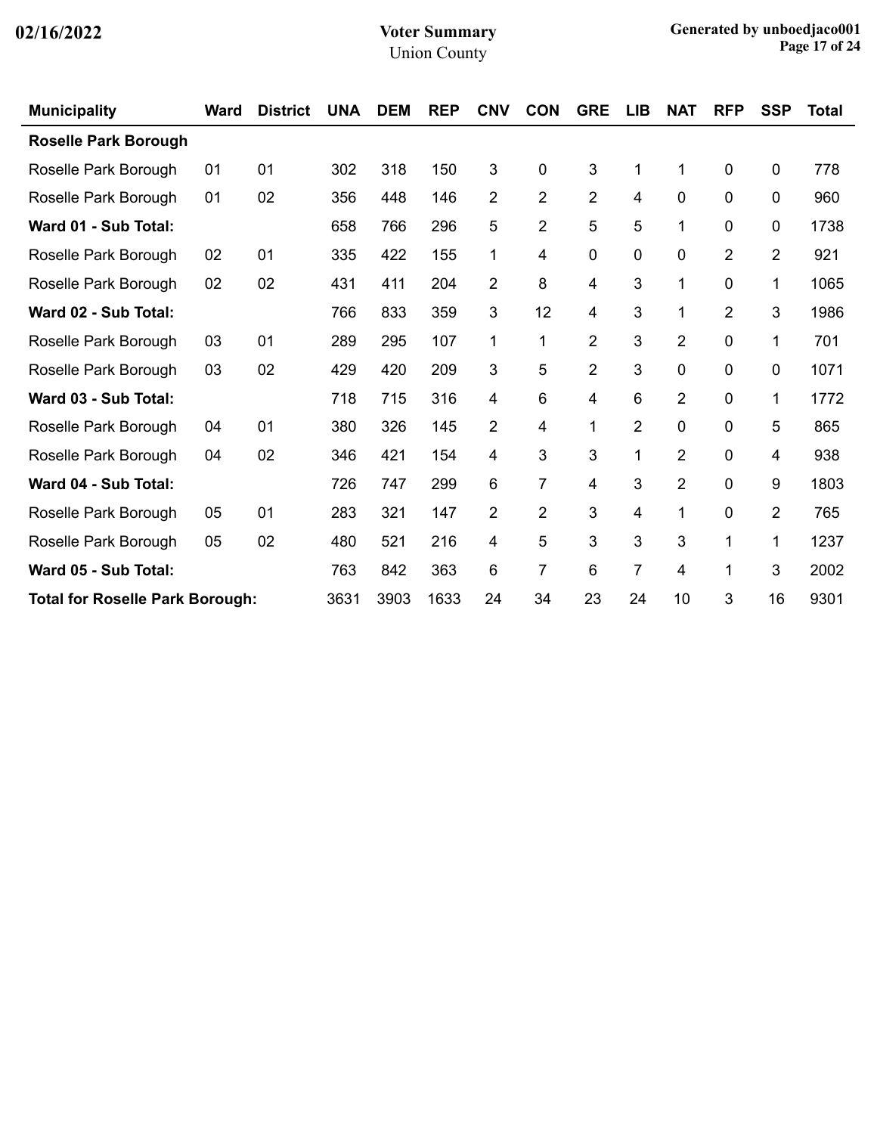| <b>Municipality</b>                    | <b>Ward</b> | <b>District</b> | <b>UNA</b> | <b>DEM</b> | <b>REP</b> | <b>CNV</b> | <b>CON</b>     | <b>GRE</b>     | <b>LIB</b> | <b>NAT</b>     | <b>RFP</b>     | <b>SSP</b>     | <b>Total</b> |
|----------------------------------------|-------------|-----------------|------------|------------|------------|------------|----------------|----------------|------------|----------------|----------------|----------------|--------------|
| <b>Roselle Park Borough</b>            |             |                 |            |            |            |            |                |                |            |                |                |                |              |
| Roselle Park Borough                   | 01          | 01              | 302        | 318        | 150        | 3          | 0              | 3              | 1          | 1              | 0              | 0              | 778          |
| Roselle Park Borough                   | 01          | 02              | 356        | 448        | 146        | 2          | $\overline{2}$ | $\overline{2}$ | 4          | $\mathbf 0$    | 0              | 0              | 960          |
| Ward 01 - Sub Total:                   |             |                 | 658        | 766        | 296        | 5          | 2              | 5              | 5          | 1              | 0              | 0              | 1738         |
| Roselle Park Borough                   | 02          | 01              | 335        | 422        | 155        | 1          | 4              | 0              | 0          | 0              | $\overline{2}$ | $\overline{2}$ | 921          |
| Roselle Park Borough                   | 02          | 02              | 431        | 411        | 204        | 2          | 8              | 4              | 3          | 1              | 0              | 1              | 1065         |
| Ward 02 - Sub Total:                   |             |                 | 766        | 833        | 359        | 3          | 12             | 4              | 3          | 1              | $\overline{2}$ | 3              | 1986         |
| Roselle Park Borough                   | 03          | 01              | 289        | 295        | 107        | 1          | 1              | $\overline{2}$ | 3          | $\overline{2}$ | 0              | 1              | 701          |
| Roselle Park Borough                   | 03          | 02              | 429        | 420        | 209        | 3          | 5              | $\overline{2}$ | 3          | 0              | 0              | 0              | 1071         |
| Ward 03 - Sub Total:                   |             |                 | 718        | 715        | 316        | 4          | 6              | 4              | 6          | $\overline{2}$ | 0              | 1              | 1772         |
| Roselle Park Borough                   | 04          | 01              | 380        | 326        | 145        | 2          | 4              | 1              | 2          | $\mathbf 0$    | 0              | 5              | 865          |
| Roselle Park Borough                   | 04          | 02              | 346        | 421        | 154        | 4          | 3              | 3              | 1          | $\overline{2}$ | 0              | 4              | 938          |
| Ward 04 - Sub Total:                   |             |                 | 726        | 747        | 299        | 6          | 7              | 4              | 3          | $\overline{2}$ | 0              | 9              | 1803         |
| Roselle Park Borough                   | 05          | 01              | 283        | 321        | 147        | 2          | $\overline{2}$ | 3              | 4          | 1              | $\Omega$       | $\overline{2}$ | 765          |
| Roselle Park Borough                   | 05          | 02              | 480        | 521        | 216        | 4          | 5              | 3              | 3          | 3              | 1              | 1              | 1237         |
| Ward 05 - Sub Total:                   |             |                 | 763        | 842        | 363        | 6          | 7              | 6              | 7          | 4              | 1              | 3              | 2002         |
| <b>Total for Roselle Park Borough:</b> |             |                 | 3631       | 3903       | 1633       | 24         | 34             | 23             | 24         | 10             | 3              | 16             | 9301         |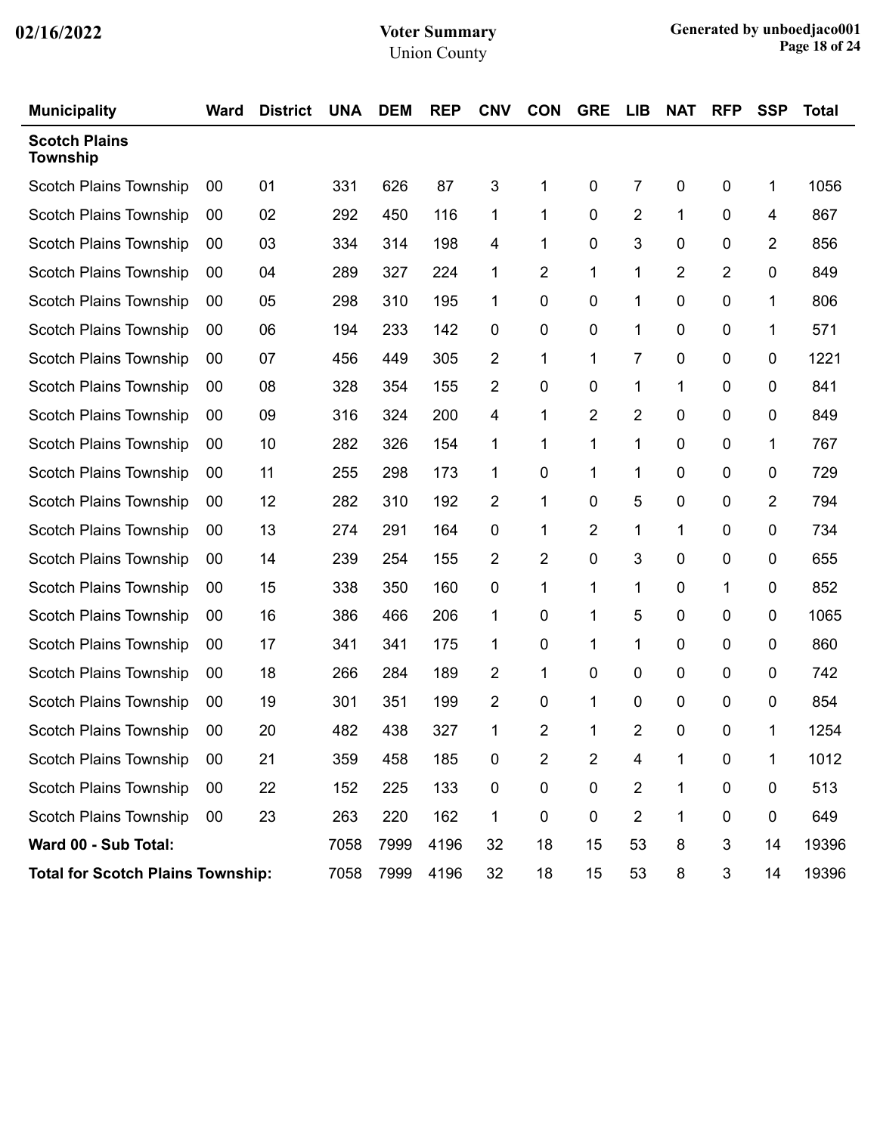| <b>Municipality</b>                      | <b>Ward</b> | <b>District</b> | <b>UNA</b> | <b>DEM</b> | <b>REP</b> | <b>CNV</b> | <b>CON</b> | <b>GRE</b> | <b>LIB</b>     | <b>NAT</b> | <b>RFP</b>     | <b>SSP</b>  | <b>Total</b> |
|------------------------------------------|-------------|-----------------|------------|------------|------------|------------|------------|------------|----------------|------------|----------------|-------------|--------------|
| <b>Scotch Plains</b><br><b>Township</b>  |             |                 |            |            |            |            |            |            |                |            |                |             |              |
| <b>Scotch Plains Township</b>            | 00          | 01              | 331        | 626        | 87         | 3          | 1          | 0          | 7              | 0          | 0              | 1           | 1056         |
| <b>Scotch Plains Township</b>            | 00          | 02              | 292        | 450        | 116        | 1          | 1          | 0          | $\overline{2}$ | 1          | 0              | 4           | 867          |
| <b>Scotch Plains Township</b>            | 00          | 03              | 334        | 314        | 198        | 4          | 1          | 0          | 3              | 0          | 0              | 2           | 856          |
| <b>Scotch Plains Township</b>            | 00          | 04              | 289        | 327        | 224        | 1          | 2          | 1          | 1              | 2          | $\overline{2}$ | 0           | 849          |
| <b>Scotch Plains Township</b>            | 00          | 05              | 298        | 310        | 195        | 1          | 0          | 0          | 1              | 0          | 0              | 1           | 806          |
| <b>Scotch Plains Township</b>            | 00          | 06              | 194        | 233        | 142        | 0          | 0          | 0          | 1              | 0          | 0              | 1           | 571          |
| <b>Scotch Plains Township</b>            | 00          | 07              | 456        | 449        | 305        | 2          | 1          | 1          | 7              | 0          | 0              | 0           | 1221         |
| <b>Scotch Plains Township</b>            | 00          | 08              | 328        | 354        | 155        | 2          | 0          | 0          | 1              | 1          | 0              | 0           | 841          |
| <b>Scotch Plains Township</b>            | 00          | 09              | 316        | 324        | 200        | 4          | 1          | 2          | 2              | 0          | 0              | 0           | 849          |
| <b>Scotch Plains Township</b>            | 00          | 10              | 282        | 326        | 154        | 1          | 1          | 1          | 1              | 0          | 0              | 1           | 767          |
| <b>Scotch Plains Township</b>            | 00          | 11              | 255        | 298        | 173        | 1          | 0          | 1          | 1              | 0          | 0              | 0           | 729          |
| <b>Scotch Plains Township</b>            | 00          | 12              | 282        | 310        | 192        | 2          | 1          | 0          | 5              | 0          | 0              | 2           | 794          |
| <b>Scotch Plains Township</b>            | 00          | 13              | 274        | 291        | 164        | 0          | 1          | 2          | 1              | 1          | 0              | $\mathbf 0$ | 734          |
| <b>Scotch Plains Township</b>            | 00          | 14              | 239        | 254        | 155        | 2          | 2          | 0          | 3              | 0          | 0              | 0           | 655          |
| <b>Scotch Plains Township</b>            | 00          | 15              | 338        | 350        | 160        | 0          | 1          | 1          | 1              | 0          | 1              | 0           | 852          |
| <b>Scotch Plains Township</b>            | 00          | 16              | 386        | 466        | 206        | 1          | 0          | 1          | 5              | 0          | 0              | 0           | 1065         |
| <b>Scotch Plains Township</b>            | 00          | 17              | 341        | 341        | 175        | 1          | 0          | 1          | 1              | 0          | 0              | 0           | 860          |
| Scotch Plains Township                   | 00          | 18              | 266        | 284        | 189        | 2          | 1          | 0          | 0              | 0          | 0              | 0           | 742          |
| <b>Scotch Plains Township</b>            | 00          | 19              | 301        | 351        | 199        | 2          | 0          | 1          | 0              | 0          | 0              | 0           | 854          |
| <b>Scotch Plains Township</b>            | 00          | 20              | 482        | 438        | 327        | 1          | 2          | 1          | 2              | 0          | 0              | 1           | 1254         |
| Scotch Plains Township                   | 00          | 21              | 359        | 458        | 185        | 0          | 2          | 2          | 4              | 1          | 0              | 1           | 1012         |
| <b>Scotch Plains Township</b>            | 00          | 22              | 152        | 225        | 133        | $\pmb{0}$  | 0          | $\pmb{0}$  | $\overline{2}$ | 1          | $\pmb{0}$      | $\mathbf 0$ | 513          |
| Scotch Plains Township                   | $00\,$      | 23              | 263        | 220        | 162        | 1          | $\pmb{0}$  | $\pmb{0}$  | $\overline{2}$ | 1          | $\pmb{0}$      | $\mathbf 0$ | 649          |
| Ward 00 - Sub Total:                     |             |                 | 7058       | 7999       | 4196       | 32         | 18         | 15         | 53             | 8          | 3              | 14          | 19396        |
| <b>Total for Scotch Plains Township:</b> |             |                 | 7058       | 7999       | 4196       | 32         | 18         | 15         | 53             | 8          | 3              | 14          | 19396        |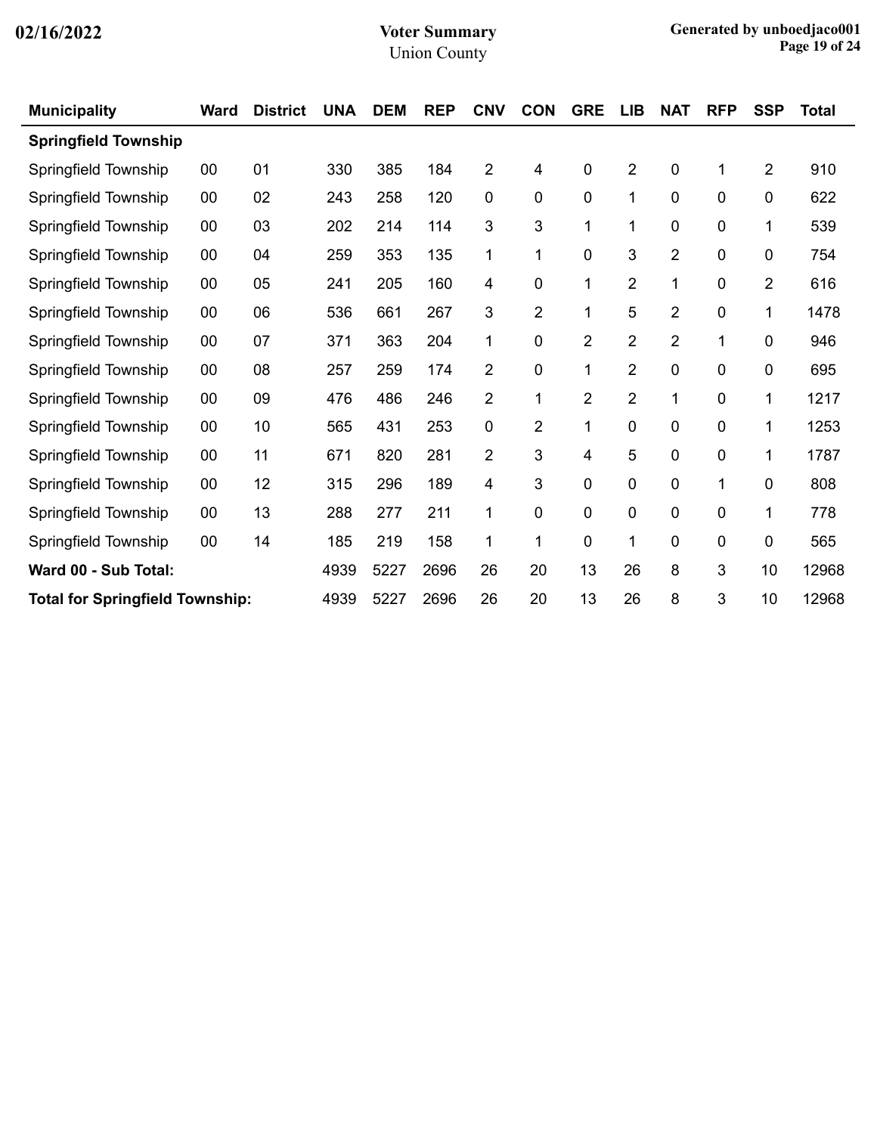| <b>Municipality</b>                    | <b>Ward</b> | <b>District</b> | <b>UNA</b> | <b>DEM</b> | <b>REP</b> | <b>CNV</b>     | <b>CON</b> | <b>GRE</b>   | <b>LIB</b>     | <b>NAT</b>     | <b>RFP</b> | <b>SSP</b>     | <b>Total</b> |
|----------------------------------------|-------------|-----------------|------------|------------|------------|----------------|------------|--------------|----------------|----------------|------------|----------------|--------------|
| <b>Springfield Township</b>            |             |                 |            |            |            |                |            |              |                |                |            |                |              |
| Springfield Township                   | 00          | 01              | 330        | 385        | 184        | $\overline{2}$ | 4          | 0            | $\overline{2}$ | 0              | 1          | $\overline{2}$ | 910          |
| Springfield Township                   | 00          | 02              | 243        | 258        | 120        | 0              | 0          | $\pmb{0}$    | 1              | 0              | 0          | 0              | 622          |
| Springfield Township                   | 00          | 03              | 202        | 214        | 114        | 3              | 3          | $\mathbf{1}$ | 1              | 0              | 0          | 1              | 539          |
| Springfield Township                   | 00          | 04              | 259        | 353        | 135        | 1              | 1          | 0            | 3              | $\overline{2}$ | 0          | 0              | 754          |
| Springfield Township                   | 00          | 05              | 241        | 205        | 160        | 4              | 0          | 1            | $\overline{2}$ | 1              | 0          | $\overline{2}$ | 616          |
| Springfield Township                   | 00          | 06              | 536        | 661        | 267        | 3              | 2          | 1            | 5              | 2              | 0          | 1              | 1478         |
| Springfield Township                   | 00          | 07              | 371        | 363        | 204        | 1              | 0          | 2            | $\overline{2}$ | 2              | 1          | $\pmb{0}$      | 946          |
| Springfield Township                   | 00          | 08              | 257        | 259        | 174        | $\overline{2}$ | 0          | 1            | $\overline{2}$ | 0              | 0          | $\pmb{0}$      | 695          |
| Springfield Township                   | 00          | 09              | 476        | 486        | 246        | $\overline{2}$ | 1          | 2            | $\overline{c}$ | 1              | 0          | 1              | 1217         |
| Springfield Township                   | 00          | 10              | 565        | 431        | 253        | $\mathbf 0$    | 2          | $\mathbf{1}$ | 0              | 0              | 0          | 1              | 1253         |
| Springfield Township                   | 00          | 11              | 671        | 820        | 281        | 2              | 3          | 4            | 5              | 0              | 0          | 1              | 1787         |
| Springfield Township                   | 00          | 12              | 315        | 296        | 189        | 4              | 3          | 0            | 0              | 0              | 1          | $\overline{0}$ | 808          |
| Springfield Township                   | 00          | 13              | 288        | 277        | 211        | 1              | 0          | 0            | 0              | 0              | 0          | 1              | 778          |
| Springfield Township                   | 00          | 14              | 185        | 219        | 158        | 1              | 1          | 0            | 1              | 0              | 0          | $\mathbf 0$    | 565          |
| Ward 00 - Sub Total:                   |             |                 | 4939       | 5227       | 2696       | 26             | 20         | 13           | 26             | 8              | 3          | 10             | 12968        |
| <b>Total for Springfield Township:</b> |             |                 | 4939       | 5227       | 2696       | 26             | 20         | 13           | 26             | 8              | 3          | 10             | 12968        |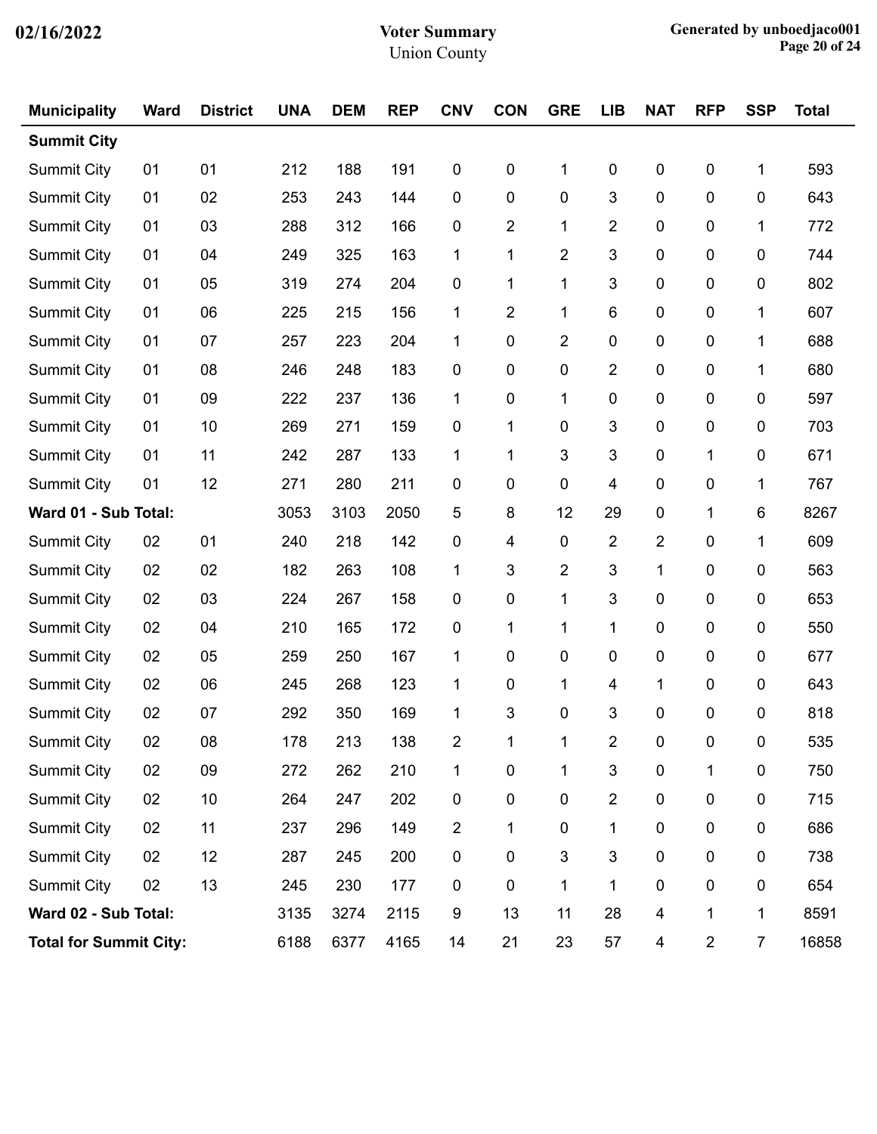| <b>Municipality</b>           | <b>Ward</b> | <b>District</b> | <b>UNA</b> | <b>DEM</b> | <b>REP</b> | <b>CNV</b>     | <b>CON</b> | <b>GRE</b>     | <b>LIB</b>     | <b>NAT</b>              | <b>RFP</b>     | <b>SSP</b>     | <b>Total</b> |
|-------------------------------|-------------|-----------------|------------|------------|------------|----------------|------------|----------------|----------------|-------------------------|----------------|----------------|--------------|
| <b>Summit City</b>            |             |                 |            |            |            |                |            |                |                |                         |                |                |              |
| <b>Summit City</b>            | 01          | 01              | 212        | 188        | 191        | 0              | 0          | 1              | 0              | $\pmb{0}$               | 0              | 1              | 593          |
| <b>Summit City</b>            | 01          | 02              | 253        | 243        | 144        | 0              | 0          | $\pmb{0}$      | 3              | $\boldsymbol{0}$        | 0              | $\pmb{0}$      | 643          |
| <b>Summit City</b>            | 01          | 03              | 288        | 312        | 166        | 0              | 2          | 1              | $\overline{2}$ | 0                       | 0              | 1              | 772          |
| <b>Summit City</b>            | 01          | 04              | 249        | 325        | 163        | $\mathbf{1}$   | 1          | $\overline{2}$ | 3              | $\mathbf 0$             | 0              | 0              | 744          |
| <b>Summit City</b>            | 01          | 05              | 319        | 274        | 204        | 0              | 1          | 1              | 3              | $\boldsymbol{0}$        | $\pmb{0}$      | 0              | 802          |
| <b>Summit City</b>            | 01          | 06              | 225        | 215        | 156        | 1              | 2          | 1              | 6              | 0                       | 0              | 1              | 607          |
| <b>Summit City</b>            | 01          | 07              | 257        | 223        | 204        | 1              | 0          | $\overline{2}$ | 0              | $\mathbf 0$             | 0              | 1              | 688          |
| <b>Summit City</b>            | 01          | 08              | 246        | 248        | 183        | 0              | $\pmb{0}$  | $\pmb{0}$      | $\overline{2}$ | $\boldsymbol{0}$        | 0              | 1              | 680          |
| <b>Summit City</b>            | 01          | 09              | 222        | 237        | 136        | 1              | 0          | 1              | 0              | 0                       | 0              | 0              | 597          |
| <b>Summit City</b>            | 01          | 10              | 269        | 271        | 159        | 0              | 1          | 0              | 3              | $\mathbf 0$             | 0              | $\mathbf 0$    | 703          |
| <b>Summit City</b>            | 01          | 11              | 242        | 287        | 133        | 1              | 1          | 3              | 3              | $\boldsymbol{0}$        | 1              | 0              | 671          |
| <b>Summit City</b>            | 01          | 12              | 271        | 280        | 211        | 0              | 0          | 0              | 4              | 0                       | 0              | 1              | 767          |
| Ward 01 - Sub Total:          |             |                 | 3053       | 3103       | 2050       | 5              | 8          | 12             | 29             | $\mathbf 0$             | 1              | 6              | 8267         |
| <b>Summit City</b>            | 02          | 01              | 240        | 218        | 142        | 0              | 4          | $\pmb{0}$      | $\overline{2}$ | $\overline{2}$          | 0              | 1              | 609          |
| <b>Summit City</b>            | 02          | 02              | 182        | 263        | 108        | 1              | 3          | $\overline{2}$ | 3              | 1                       | 0              | 0              | 563          |
| <b>Summit City</b>            | 02          | 03              | 224        | 267        | 158        | 0              | 0          | 1              | 3              | $\mathbf 0$             | 0              | $\mathbf 0$    | 653          |
| <b>Summit City</b>            | 02          | 04              | 210        | 165        | 172        | 0              | 1          | 1              | 1              | $\mathbf 0$             | 0              | 0              | 550          |
| <b>Summit City</b>            | 02          | 05              | 259        | 250        | 167        | 1              | 0          | 0              | 0              | 0                       | 0              | 0              | 677          |
| Summit City                   | 02          | 06              | 245        | 268        | 123        | 1              | 0          | 1              | 4              | 1                       | 0              | $\mathbf 0$    | 643          |
| <b>Summit City</b>            | 02          | 07              | 292        | 350        | 169        | 1              | 3          | 0              | 3              | 0                       | 0              | 0              | 818          |
| Summit City                   | 02          | 08              | 178        | 213        | 138        | 2              |            | 1              | $\overline{2}$ | 0                       | 0              | 0              | 535          |
| <b>Summit City</b>            | 02          | 09              | 272        | 262        | 210        | $\mathbf{1}$   | $\pmb{0}$  | 1              | $\sqrt{3}$     | $\pmb{0}$               | 1              | $\pmb{0}$      | 750          |
| <b>Summit City</b>            | 02          | 10              | 264        | 247        | 202        | 0              | $\pmb{0}$  | $\mathbf 0$    | $\overline{2}$ | $\pmb{0}$               | $\pmb{0}$      | $\pmb{0}$      | 715          |
| <b>Summit City</b>            | 02          | 11              | 237        | 296        | 149        | $\overline{2}$ | 1          | 0              | 1              | 0                       | $\pmb{0}$      | $\pmb{0}$      | 686          |
| <b>Summit City</b>            | 02          | 12              | 287        | 245        | 200        | $\pmb{0}$      | $\pmb{0}$  | $\mathfrak{S}$ | 3              | 0                       | $\pmb{0}$      | $\pmb{0}$      | 738          |
| <b>Summit City</b>            | 02          | 13              | 245        | 230        | 177        | $\pmb{0}$      | $\pmb{0}$  | 1              | 1              | $\mathbf 0$             | $\pmb{0}$      | $\pmb{0}$      | 654          |
| Ward 02 - Sub Total:          |             |                 | 3135       | 3274       | 2115       | 9              | 13         | 11             | 28             | $\overline{\mathbf{4}}$ | 1              | 1              | 8591         |
| <b>Total for Summit City:</b> |             |                 | 6188       | 6377       | 4165       | 14             | 21         | 23             | 57             | 4                       | $\overline{2}$ | $\overline{7}$ | 16858        |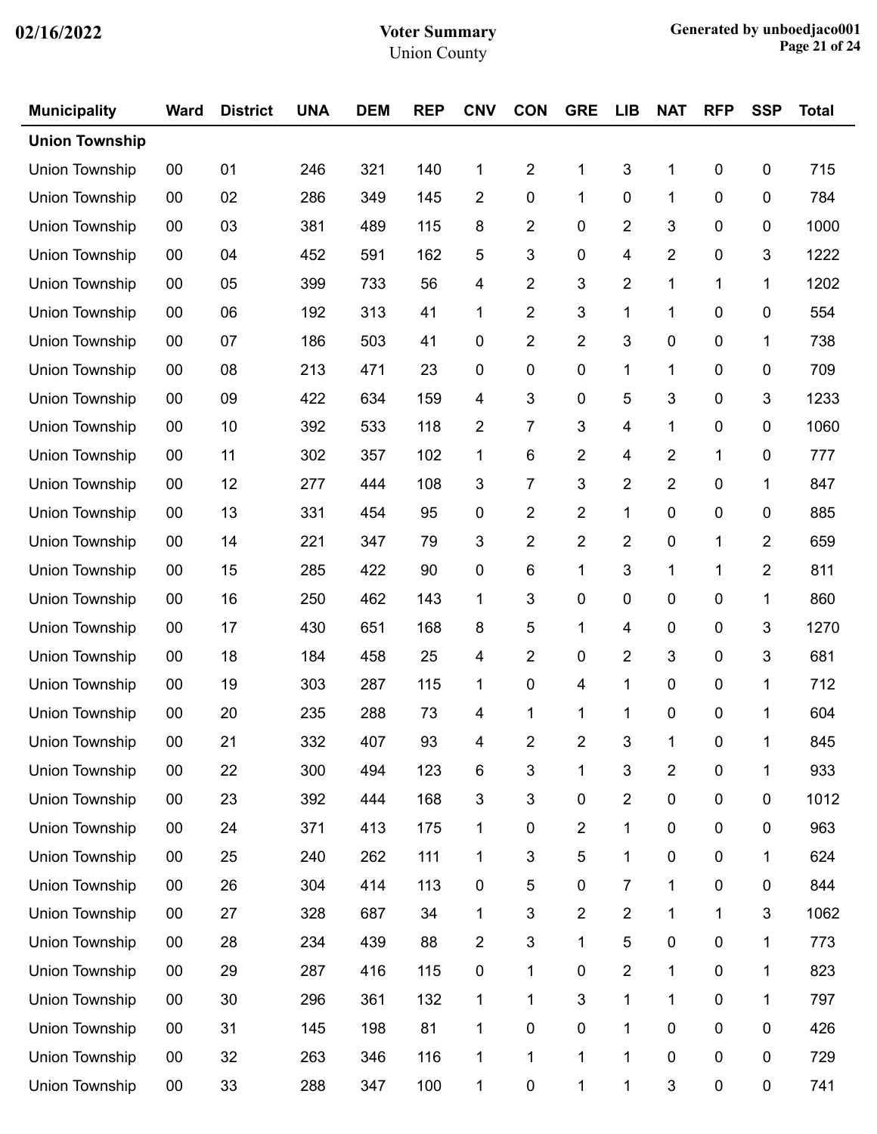| <b>Municipality</b>   | <b>Ward</b> | <b>District</b> | <b>UNA</b> | <b>DEM</b> | <b>REP</b> | <b>CNV</b>     | <b>CON</b>     | <b>GRE</b>              | <b>LIB</b>     | <b>NAT</b>              | <b>RFP</b>  | <b>SSP</b>     | <b>Total</b> |
|-----------------------|-------------|-----------------|------------|------------|------------|----------------|----------------|-------------------------|----------------|-------------------------|-------------|----------------|--------------|
| <b>Union Township</b> |             |                 |            |            |            |                |                |                         |                |                         |             |                |              |
| Union Township        | 00          | 01              | 246        | 321        | 140        | 1              | $\overline{2}$ | 1                       | 3              | 1                       | 0           | $\pmb{0}$      | 715          |
| Union Township        | 00          | 02              | 286        | 349        | 145        | $\overline{2}$ | 0              | 1                       | 0              | 1                       | 0           | 0              | 784          |
| Union Township        | 00          | 03              | 381        | 489        | 115        | 8              | $\overline{2}$ | 0                       | 2              | 3                       | 0           | $\pmb{0}$      | 1000         |
| Union Township        | 00          | 04              | 452        | 591        | 162        | 5              | 3              | $\boldsymbol{0}$        | 4              | 2                       | 0           | 3              | 1222         |
| Union Township        | 00          | 05              | 399        | 733        | 56         | 4              | $\overline{2}$ | 3                       | 2              | 1                       | 1           | 1              | 1202         |
| Union Township        | 00          | 06              | 192        | 313        | 41         | 1              | $\overline{2}$ | 3                       | 1              | 1                       | 0           | $\pmb{0}$      | 554          |
| Union Township        | $00\,$      | 07              | 186        | 503        | 41         | 0              | $\overline{2}$ | $\overline{2}$          | 3              | $\boldsymbol{0}$        | 0           | 1              | 738          |
| Union Township        | 00          | 08              | 213        | 471        | 23         | 0              | 0              | 0                       | 1              | 1                       | 0           | 0              | 709          |
| Union Township        | 00          | 09              | 422        | 634        | 159        | 4              | 3              | 0                       | 5              | 3                       | 0           | 3              | 1233         |
| Union Township        | $00\,$      | 10              | 392        | 533        | 118        | $\overline{c}$ | 7              | 3                       | 4              | 1                       | 0           | $\pmb{0}$      | 1060         |
| Union Township        | 00          | 11              | 302        | 357        | 102        | 1              | 6              | $\overline{2}$          | 4              | 2                       | 1           | 0              | 777          |
| <b>Union Township</b> | 00          | 12              | 277        | 444        | 108        | 3              | 7              | 3                       | 2              | $\overline{c}$          | 0           | 1              | 847          |
| Union Township        | $00\,$      | 13              | 331        | 454        | 95         | 0              | $\overline{2}$ | $\overline{2}$          | 1              | $\boldsymbol{0}$        | 0           | $\pmb{0}$      | 885          |
| Union Township        | 00          | 14              | 221        | 347        | 79         | 3              | $\overline{2}$ | $\overline{\mathbf{c}}$ | 2              | $\pmb{0}$               | $\mathbf 1$ | $\overline{2}$ | 659          |
| Union Township        | 00          | 15              | 285        | 422        | 90         | $\pmb{0}$      | 6              | 1                       | 3              | 1                       | 1           | $\overline{2}$ | 811          |
| Union Township        | $00\,$      | 16              | 250        | 462        | 143        | 1              | 3              | 0                       | 0              | 0                       | 0           | 1              | 860          |
| Union Township        | 00          | 17              | 430        | 651        | 168        | 8              | 5              | 1                       | 4              | 0                       | 0           | 3              | 1270         |
| Union Township        | 00          | 18              | 184        | 458        | 25         | 4              | $\overline{2}$ | $\mathbf 0$             | 2              | 3                       | 0           | 3              | 681          |
| Union Township        | 00          | 19              | 303        | 287        | 115        | 1              | 0              | 4                       | 1              | $\pmb{0}$               | 0           | 1              | 712          |
| <b>Union Township</b> | 00          | 20              | 235        | 288        | 73         | 4              | 1              | 1                       | 1              | $\boldsymbol{0}$        | 0           | 1              | 604          |
| Union Township        | $00\,$      | 21              | 332        | 407        | 93         | 4              | $\overline{2}$ | $\overline{\mathbf{c}}$ | $\sqrt{3}$     | $\overline{A}$          | $\pmb{0}$   | $\mathbf{1}$   | 845          |
| Union Township        | $00\,$      | 22              | 300        | 494        | 123        | 6              | $\sqrt{3}$     | 1                       | 3              | $\overline{\mathbf{c}}$ | 0           | 1              | 933          |
| Union Township        | $00\,$      | 23              | 392        | 444        | 168        | 3              | $\sqrt{3}$     | $\pmb{0}$               | $\overline{c}$ | $\pmb{0}$               | 0           | $\pmb{0}$      | 1012         |
| Union Township        | $00\,$      | 24              | 371        | 413        | 175        | 1              | 0              | $\overline{\mathbf{c}}$ | 1              | $\pmb{0}$               | 0           | $\pmb{0}$      | 963          |
| Union Township        | $00\,$      | 25              | 240        | 262        | 111        | 1              | $\sqrt{3}$     | 5                       | 1              | $\pmb{0}$               | 0           | 1              | 624          |
| Union Township        | $00\,$      | 26              | 304        | 414        | 113        | $\pmb{0}$      | 5              | $\pmb{0}$               | 7              | 1                       | 0           | $\pmb{0}$      | 844          |
| Union Township        | $00\,$      | 27              | 328        | 687        | 34         | 1              | 3              | $\overline{\mathbf{c}}$ | 2              | 1                       | $\mathbf 1$ | 3              | 1062         |
| Union Township        | $00\,$      | 28              | 234        | 439        | 88         | $\overline{2}$ | $\mathbf{3}$   | $\mathbf 1$             | 5              | $\pmb{0}$               | 0           | 1              | 773          |
| Union Township        | $00\,$      | 29              | 287        | 416        | 115        | $\pmb{0}$      | 1              | $\pmb{0}$               | 2              | 1                       | 0           | 1              | 823          |
| Union Township        | $00\,$      | 30              | 296        | 361        | 132        | 1              | 1              | 3                       | 1              | 1                       | 0           | 1              | 797          |
| Union Township        | $00\,$      | 31              | 145        | 198        | 81         | 1              | $\pmb{0}$      | $\pmb{0}$               | 1              | $\pmb{0}$               | 0           | 0              | 426          |
| Union Township        | $00\,$      | 32              | 263        | 346        | 116        | $\mathbf{1}$   | $\mathbf 1$    | $\mathbf 1$             | 1              | $\pmb{0}$               | $\pmb{0}$   | $\pmb{0}$      | 729          |
| <b>Union Township</b> | $00\,$      | 33              | 288        | 347        | 100        | 1              | $\pmb{0}$      | 1                       | 1              | $\mathfrak{S}$          | $\pmb{0}$   | $\pmb{0}$      | 741          |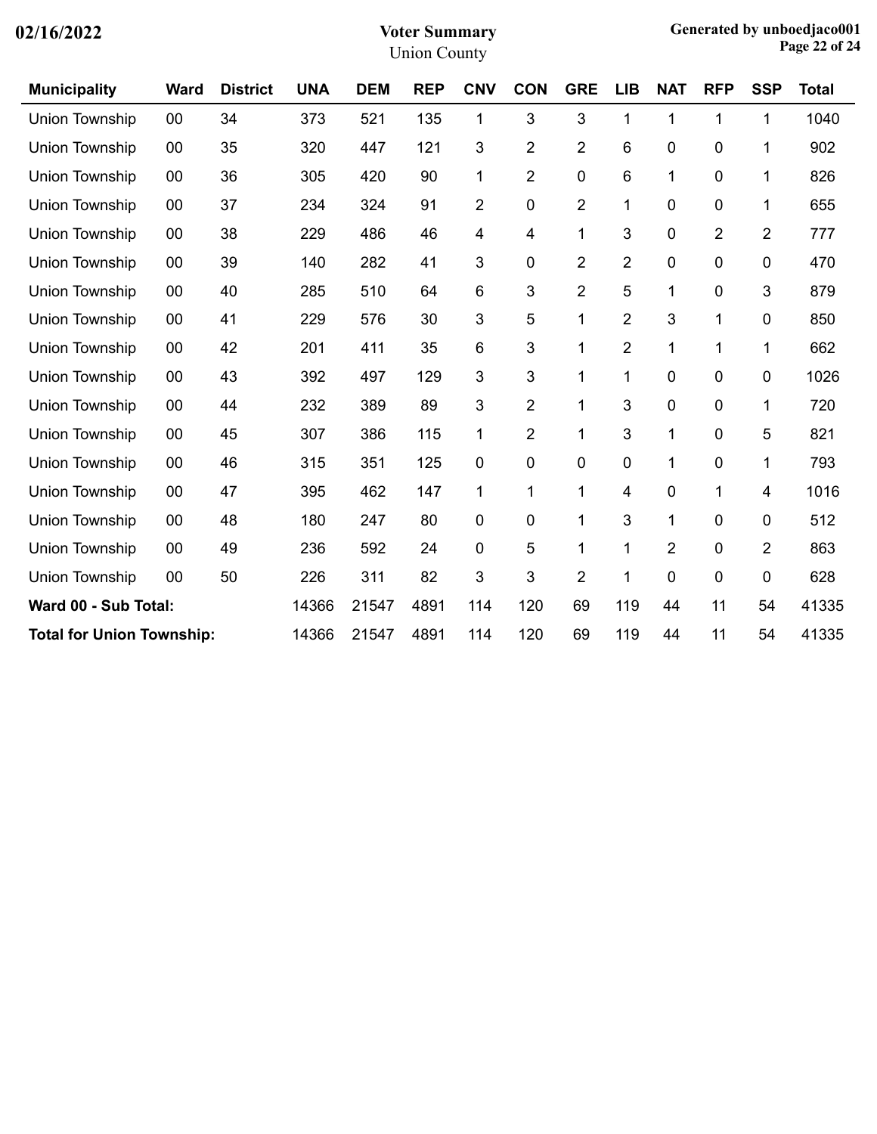| <b>Municipality</b>              | <b>Ward</b> | <b>District</b> | <b>UNA</b> | <b>DEM</b> | <b>REP</b> | <b>CNV</b>     | <b>CON</b>     | <b>GRE</b>     | <b>LIB</b>     | <b>NAT</b> | <b>RFP</b>     | <b>SSP</b>     | <b>Total</b> |
|----------------------------------|-------------|-----------------|------------|------------|------------|----------------|----------------|----------------|----------------|------------|----------------|----------------|--------------|
| Union Township                   | 00          | 34              | 373        | 521        | 135        | 1              | 3              | 3              | 1              | 1          | 1              | 1              | 1040         |
| Union Township                   | 00          | 35              | 320        | 447        | 121        | 3              | 2              | $\overline{2}$ | 6              | 0          | 0              | 1              | 902          |
| Union Township                   | 00          | 36              | 305        | 420        | 90         | 1              | $\overline{2}$ | 0              | 6              | 1          | 0              | 1              | 826          |
| Union Township                   | 00          | 37              | 234        | 324        | 91         | $\overline{2}$ | 0              | $\overline{2}$ | 1              | 0          | 0              | 1              | 655          |
| <b>Union Township</b>            | 00          | 38              | 229        | 486        | 46         | 4              | 4              | 1              | 3              | 0          | $\overline{2}$ | $\overline{2}$ | 777          |
| Union Township                   | 00          | 39              | 140        | 282        | 41         | 3              | 0              | $\overline{2}$ | $\overline{2}$ | 0          | 0              | 0              | 470          |
| Union Township                   | 00          | 40              | 285        | 510        | 64         | 6              | 3              | $\overline{2}$ | 5              | 1          | 0              | 3              | 879          |
| Union Township                   | 00          | 41              | 229        | 576        | 30         | 3              | 5              | 1              | 2              | 3          | 1              | 0              | 850          |
| Union Township                   | 00          | 42              | 201        | 411        | 35         | 6              | 3              | 1              | $\overline{2}$ | 1          | 1              | 1              | 662          |
| Union Township                   | 00          | 43              | 392        | 497        | 129        | 3              | 3              | 1              | 1              | 0          | 0              | 0              | 1026         |
| Union Township                   | 00          | 44              | 232        | 389        | 89         | 3              | $\overline{2}$ | 1              | 3              | 0          | 0              | 1              | 720          |
| Union Township                   | 00          | 45              | 307        | 386        | 115        | 1              | $\overline{2}$ | 1              | 3              | 1          | 0              | 5              | 821          |
| <b>Union Township</b>            | 00          | 46              | 315        | 351        | 125        | 0              | 0              | 0              | 0              | 1          | 0              | 1              | 793          |
| Union Township                   | 00          | 47              | 395        | 462        | 147        | 1              | 1              | 1              | 4              | 0          | 1              | 4              | 1016         |
| Union Township                   | 00          | 48              | 180        | 247        | 80         | 0              | 0              | 1              | 3              | 1          | 0              | 0              | 512          |
| Union Township                   | 00          | 49              | 236        | 592        | 24         | $\mathbf 0$    | 5              | 1              | 1              | 2          | 0              | $\overline{2}$ | 863          |
| <b>Union Township</b>            | 00          | 50              | 226        | 311        | 82         | 3              | 3              | $\overline{2}$ | 1              | 0          | 0              | 0              | 628          |
| Ward 00 - Sub Total:             |             |                 | 14366      | 21547      | 4891       | 114            | 120            | 69             | 119            | 44         | 11             | 54             | 41335        |
| <b>Total for Union Township:</b> |             |                 | 14366      | 21547      | 4891       | 114            | 120            | 69             | 119            | 44         | 11             | 54             | 41335        |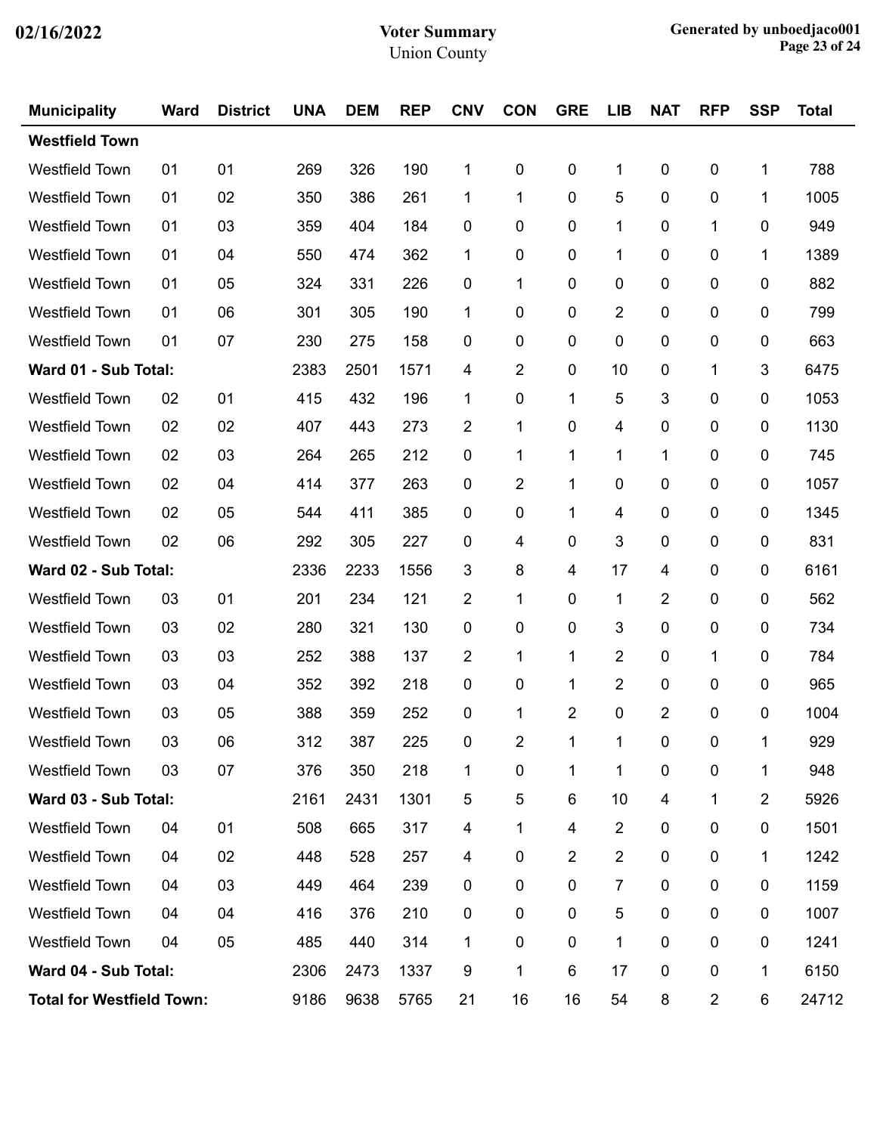| <b>Municipality</b>              | <b>Ward</b> | <b>District</b> | <b>UNA</b> | <b>DEM</b> | <b>REP</b> | <b>CNV</b>  | <b>CON</b>     | <b>GRE</b>     | <b>LIB</b> | <b>NAT</b>     | <b>RFP</b>          | <b>SSP</b>     | <b>Total</b> |
|----------------------------------|-------------|-----------------|------------|------------|------------|-------------|----------------|----------------|------------|----------------|---------------------|----------------|--------------|
| <b>Westfield Town</b>            |             |                 |            |            |            |             |                |                |            |                |                     |                |              |
| <b>Westfield Town</b>            | 01          | 01              | 269        | 326        | 190        | 1           | 0              | $\pmb{0}$      | 1          | $\pmb{0}$      | $\mathbf 0$         | 1              | 788          |
| <b>Westfield Town</b>            | 01          | 02              | 350        | 386        | 261        | 1           | 1              | $\mathbf 0$    | 5          | 0              | 0                   | 1              | 1005         |
| Westfield Town                   | 01          | 03              | 359        | 404        | 184        | 0           | 0              | 0              | 1          | 0              | 1                   | 0              | 949          |
| <b>Westfield Town</b>            | 01          | 04              | 550        | 474        | 362        | 1           | 0              | $\mathbf 0$    | 1          | 0              | 0                   | 1              | 1389         |
| <b>Westfield Town</b>            | 01          | 05              | 324        | 331        | 226        | 0           | 1              | $\mathbf 0$    | 0          | 0              | 0                   | $\pmb{0}$      | 882          |
| Westfield Town                   | 01          | 06              | 301        | 305        | 190        | 1           | 0              | 0              | 2          | 0              | 0                   | 0              | 799          |
| <b>Westfield Town</b>            | 01          | 07              | 230        | 275        | 158        | $\mathbf 0$ | 0              | $\mathbf 0$    | 0          | 0              | 0                   | 0              | 663          |
| Ward 01 - Sub Total:             |             |                 | 2383       | 2501       | 1571       | 4           | $\overline{2}$ | $\mathbf 0$    | 10         | 0              | 1                   | 3              | 6475         |
| Westfield Town                   | 02          | 01              | 415        | 432        | 196        | 1           | 0              | 1              | 5          | 3              | 0                   | 0              | 1053         |
| <b>Westfield Town</b>            | 02          | 02              | 407        | 443        | 273        | 2           | 1              | $\mathbf 0$    | 4          | 0              | 0                   | 0              | 1130         |
| <b>Westfield Town</b>            | 02          | 03              | 264        | 265        | 212        | 0           | 1              | 1              | 1          | 1              | 0                   | 0              | 745          |
| Westfield Town                   | 02          | 04              | 414        | 377        | 263        | 0           | 2              | 1              | 0          | 0              | 0                   | 0              | 1057         |
| <b>Westfield Town</b>            | 02          | 05              | 544        | 411        | 385        | $\mathbf 0$ | 0              | 1              | 4          | 0              | 0                   | 0              | 1345         |
| <b>Westfield Town</b>            | 02          | 06              | 292        | 305        | 227        | 0           | 4              | $\mathbf 0$    | 3          | 0              | 0                   | 0              | 831          |
| Ward 02 - Sub Total:             |             |                 | 2336       | 2233       | 1556       | 3           | 8              | 4              | 17         | 4              | 0                   | 0              | 6161         |
| <b>Westfield Town</b>            | 03          | 01              | 201        | 234        | 121        | 2           | 1              | 0              | 1          | 2              | 0                   | 0              | 562          |
| <b>Westfield Town</b>            | 03          | 02              | 280        | 321        | 130        | 0           | 0              | $\mathbf 0$    | 3          | 0              | 0                   | 0              | 734          |
| Westfield Town                   | 03          | 03              | 252        | 388        | 137        | 2           | 1              | 1              | 2          | 0              | 1                   | 0              | 784          |
| <b>Westfield Town</b>            | 03          | 04              | 352        | 392        | 218        | 0           | 0              | 1              | 2          | 0              | 0                   | 0              | 965          |
| <b>Westfield Town</b>            | 03          | 05              | 388        | 359        | 252        | 0           | 1              | $\overline{2}$ | 0          | $\overline{2}$ | 0                   | 0              | 1004         |
| <b>Westfield Town</b>            | 03          | 06              | 312        | 387        | 225        | $\pmb{0}$   | $\overline{2}$ |                |            | 0              | $\mathsf{O}\xspace$ |                | 929          |
| Westfield Town                   | 03          | 07              | 376        | 350        | 218        | 1           | $\pmb{0}$      | 1              | 1          | 0              | $\pmb{0}$           | 1              | 948          |
| Ward 03 - Sub Total:             |             |                 | 2161       | 2431       | 1301       | 5           | $\sqrt{5}$     | 6              | 10         | 4              | 1                   | $\overline{2}$ | 5926         |
| <b>Westfield Town</b>            | 04          | 01              | 508        | 665        | 317        | 4           | 1              | 4              | 2          | 0              | 0                   | 0              | 1501         |
| Westfield Town                   | 04          | 02              | 448        | 528        | 257        | 4           | 0              | $\overline{2}$ | 2          | 0              | 0                   | 1              | 1242         |
| <b>Westfield Town</b>            | 04          | 03              | 449        | 464        | 239        | 0           | 0              | 0              | 7          | 0              | 0                   | $\pmb{0}$      | 1159         |
| <b>Westfield Town</b>            | 04          | 04              | 416        | 376        | 210        | 0           | 0              | 0              | 5          | 0              | 0                   | 0              | 1007         |
| Westfield Town                   | 04          | 05              | 485        | 440        | 314        | 1           | 0              | $\pmb{0}$      | 1          | 0              | 0                   | 0              | 1241         |
| Ward 04 - Sub Total:             | 2306        | 2473            | 1337       | 9          | 1          | 6           | 17             | 0              | 0          | 1              | 6150                |                |              |
| <b>Total for Westfield Town:</b> | 9186        | 9638            | 5765       | 21         | 16         | 16          | 54             | 8              | 2          | 6              | 24712               |                |              |